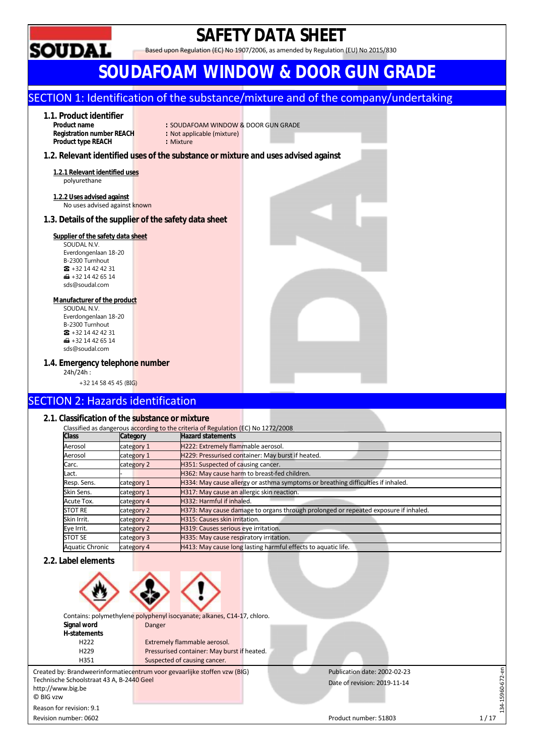

## **2.1. Classification of the substance or mixture**

|                        |            | Classified as dangerous according to the criteria of Regulation (EC) No 1272/2008   |  |  |  |  |  |
|------------------------|------------|-------------------------------------------------------------------------------------|--|--|--|--|--|
| <b>Class</b>           | Category   | <b>Hazard statements</b>                                                            |  |  |  |  |  |
| Aerosol                | category 1 | H222: Extremely flammable aerosol.                                                  |  |  |  |  |  |
| Aerosol                | category 1 | H229: Pressurised container: May burst if heated.                                   |  |  |  |  |  |
| Carc.                  | category 2 | H351: Suspected of causing cancer.                                                  |  |  |  |  |  |
| Lact.                  |            | H362: May cause harm to breast-fed children.                                        |  |  |  |  |  |
| Resp. Sens.            | category 1 | H334: May cause allergy or asthma symptoms or breathing difficulties if inhaled.    |  |  |  |  |  |
| Skin Sens.             | category 1 | H317: May cause an allergic skin reaction.                                          |  |  |  |  |  |
| Acute Tox.             | category 4 | H332: Harmful if inhaled.                                                           |  |  |  |  |  |
| <b>STOT RE</b>         | category 2 | H373: May cause damage to organs through prolonged or repeated exposure if inhaled. |  |  |  |  |  |
| Skin Irrit.            | category 2 | H315: Causes skin irritation.                                                       |  |  |  |  |  |
| Eye Irrit.             | category 2 | H319: Causes serious eye irritation.                                                |  |  |  |  |  |
| <b>STOT SE</b>         | category 3 | H335: May cause respiratory irritation.                                             |  |  |  |  |  |
| <b>Aquatic Chronic</b> | category 4 | H413: May cause long lasting harmful effects to aquatic life.                       |  |  |  |  |  |

## **2.2. Label elements**

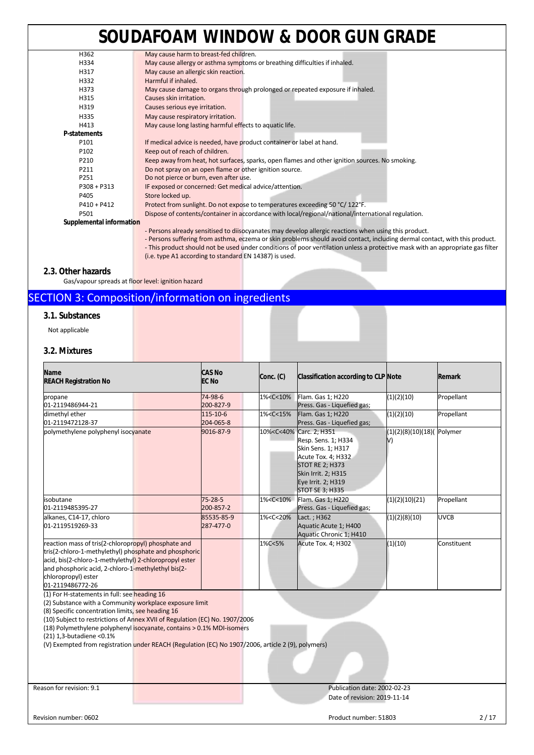## **SOUDAFOAM WINDOW & DOOR GUN GRADE**

| H362                     | May cause harm to breast-fed children.                                                             |
|--------------------------|----------------------------------------------------------------------------------------------------|
| H334                     | May cause allergy or asthma symptoms or breathing difficulties if inhaled.                         |
| H317                     | May cause an allergic skin reaction.                                                               |
| H332                     | Harmful if inhaled.                                                                                |
| H373                     | May cause damage to organs through prolonged or repeated exposure if inhaled.                      |
| H315                     | Causes skin irritation.                                                                            |
| H319                     | Causes serious eye irritation.                                                                     |
| H335                     | May cause respiratory irritation.                                                                  |
| H413                     | May cause long lasting harmful effects to aquatic life.                                            |
| <b>P-statements</b>      |                                                                                                    |
| P <sub>101</sub>         | If medical advice is needed, have product container or label at hand.                              |
| P102                     | Keep out of reach of children.                                                                     |
| P210                     | Keep away from heat, hot surfaces, sparks, open flames and other ignition sources. No smoking.     |
| P211                     | Do not spray on an open flame or other ignition source.                                            |
| P251                     | Do not pierce or burn, even after use.                                                             |
| $P308 + P313$            | IF exposed or concerned: Get medical advice/attention.                                             |
| P405                     | Store locked up.                                                                                   |
| $P410 + P412$            | Protect from sunlight. Do not expose to temperatures exceeding 50 °C/122°F.                        |
| P501                     | Dispose of contents/container in accordance with local/regional/national/international regulation. |
| Supplemental information |                                                                                                    |
|                          | . Dersons already sensitised to discossered may develop allergic reactions when using this product |

- Persons already sensitised to diisocyanates may develop allergic reactions when using this product.

- Persons suffering from asthma, eczema or skin problems should avoid contact, including dermal contact, with this product. - This product should not be used under conditions of poor ventilation unless a protective mask with an appropriate gas filter (i.e. type A1 according to standard EN 14387) is used.

### **2.3. Other hazards**

Gas/vapour spreads at floor level: ignition hazard

## SECTION 3: Composition/information on ingredients

### **3.1. Substances**

Not applicable

## **3.2. Mixtures**

| <b>Name</b><br><b>REACH Registration No</b>                                                                                                                                                                                                                                                                                                                                                                                                             | <b>CAS No</b><br><b>EC No</b> | Conc. (C)                                                                                                                                      | Classification according to CLP Note                                                                                                                                                                         |                                     | Remark      |
|---------------------------------------------------------------------------------------------------------------------------------------------------------------------------------------------------------------------------------------------------------------------------------------------------------------------------------------------------------------------------------------------------------------------------------------------------------|-------------------------------|------------------------------------------------------------------------------------------------------------------------------------------------|--------------------------------------------------------------------------------------------------------------------------------------------------------------------------------------------------------------|-------------------------------------|-------------|
| propane<br>01-2119486944-21                                                                                                                                                                                                                                                                                                                                                                                                                             | 74-98-6<br>200-827-9          | 1% <c<10%< th=""><th>Flam. Gas 1; H220<br/>Press. Gas - Liquefied gas;</th><th>(1)(2)(10)</th><th>Propellant</th></c<10%<>                     | Flam. Gas 1; H220<br>Press. Gas - Liquefied gas;                                                                                                                                                             | (1)(2)(10)                          | Propellant  |
| dimethyl ether<br>01-2119472128-37                                                                                                                                                                                                                                                                                                                                                                                                                      | 115-10-6<br>204-065-8         | 1% <c<15%< td=""><td>Flam. Gas 1; H220<br/>Press. Gas - Liquefied gas;</td><td>(1)(2)(10)</td><td>Propellant</td></c<15%<>                     | Flam. Gas 1; H220<br>Press. Gas - Liquefied gas;                                                                                                                                                             | (1)(2)(10)                          | Propellant  |
| polymethylene polyphenyl isocyanate                                                                                                                                                                                                                                                                                                                                                                                                                     | 9016-87-9                     |                                                                                                                                                | 10% <c<40% 2;="" carc.="" h351<br="">Resp. Sens. 1; H334<br/>Skin Sens. 1; H317<br/>Acute Tox. 4; H332<br/><b>STOT RE 2; H373</b><br/>Skin Irrit. 2; H315<br/>Eye Irrit. 2; H319<br/>STOT SE 3; H335</c<40%> | $(1)(2)(8)(10)(18)($ Polymer<br>IV) |             |
| isobutane<br>01-2119485395-27                                                                                                                                                                                                                                                                                                                                                                                                                           | $75 - 28 - 5$<br>200-857-2    | 1% <c<10%< td=""><td>Flam. Gas 1; H220<br/>Press. Gas - Liquefied gas;</td><td>(1)(2)(10)(21)</td><td>Propellant</td></c<10%<>                 | Flam. Gas 1; H220<br>Press. Gas - Liquefied gas;                                                                                                                                                             | (1)(2)(10)(21)                      | Propellant  |
| alkanes, C14-17, chloro<br>01-2119519269-33                                                                                                                                                                                                                                                                                                                                                                                                             | 85535-85-9<br>287-477-0       | 1% <c<20%< td=""><td>Lact.; H362<br/>Aquatic Acute 1; H400<br/>Aquatic Chronic 1; H410</td><td>(1)(2)(8)(10)</td><td><b>UVCB</b></td></c<20%<> | Lact.; H362<br>Aquatic Acute 1; H400<br>Aquatic Chronic 1; H410                                                                                                                                              | (1)(2)(8)(10)                       | <b>UVCB</b> |
| reaction mass of tris(2-chloropropyl) phosphate and<br>tris(2-chloro-1-methylethyl) phosphate and phosphoric<br>acid, bis(2-chloro-1-methylethyl) 2-chloropropyl ester<br>and phosphoric acid, 2-chloro-1-methylethyl bis(2-<br>chloropropyl) ester<br>01-2119486772-26                                                                                                                                                                                 |                               | 1%C<5%                                                                                                                                         | Acute Tox. 4; H302                                                                                                                                                                                           | (1)(10)                             | Constituent |
| (1) For H-statements in full: see heading 16<br>(2) Substance with a Community workplace exposure limit<br>(8) Specific concentration limits, see heading 16<br>(10) Subject to restrictions of Annex XVII of Regulation (EC) No. 1907/2006<br>(18) Polymethylene polyphenyl isocyanate, contains > 0.1% MDI-isomers<br>(21) 1,3-butadiene < 0.1%<br>(V) Exempted from registration under REACH (Regulation (EC) No 1907/2006, article 2 (9), polymers) |                               |                                                                                                                                                |                                                                                                                                                                                                              |                                     |             |
| Reason for revision: 9.1                                                                                                                                                                                                                                                                                                                                                                                                                                |                               |                                                                                                                                                | Publication date: 2002-02-23<br>Date of revision: 2019-11-14                                                                                                                                                 |                                     |             |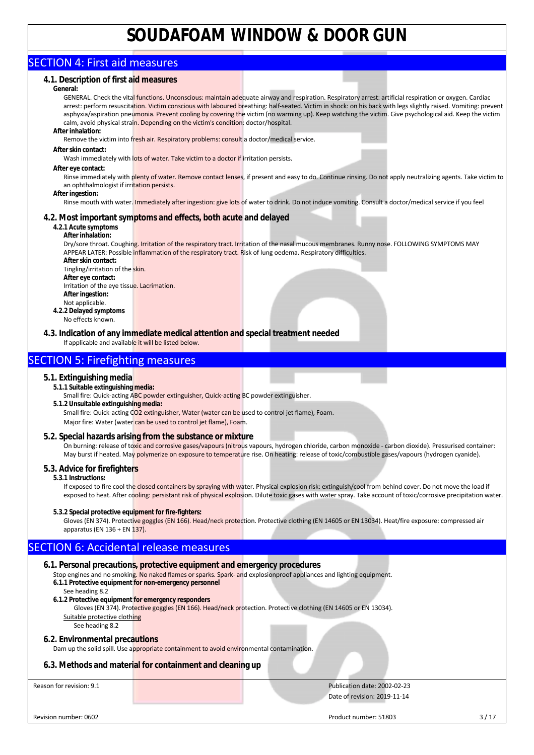## SECTION 4: First aid measures

## **4.1. Description of first aid measures**

#### **General:**

GENERAL. Check the vital functions. Unconscious: maintain adequate airway and respiration. Respiratory arrest: artificial respiration or oxygen. Cardiac arrest: perform resuscitation. Victim conscious with laboured breathing: half-seated. Victim in shock: on his back with legs slightly raised. Vomiting: prevent asphyxia/aspiration pneumonia. Prevent cooling by covering the victim (no warming up). Keep watching the victim. Give psychological aid. Keep the victim calm, avoid physical strain. Depending on the victim's condition: doctor/hospital. **After inhalation:** 

Remove the victim into fresh air. Respiratory problems: consult a doctor/medical service.

#### **After skin contact:**

Wash immediately with lots of water. Take victim to a doctor if irritation persists.

#### **After eye contact:**

Rinse immediately with plenty of water. Remove contact lenses, if present and easy to do. Continue rinsing. Do not apply neutralizing agents. Take victim to an ophthalmologist if irritation persists.

### **After ingestion:**

Rinse mouth with water. Immediately after ingestion: give lots of water to drink. Do not induce vomiting. Consult a doctor/medical service if you feel

## **4.2. Most important symptoms and effects, both acute and delayed**

## **4.2.1 Acute symptoms**

**After inhalation:**  Dry/sore throat. Coughing. Irritation of the respiratory tract. Irritation of the nasal mucous membranes. Runny nose. FOLLOWING SYMPTOMS MAY APPEAR LATER: Possible inflammation of the respiratory tract. Risk of lung oedema. Respiratory difficulties. **After skin contact:**  Tingling/irritation of the skin. **After eye contact:**  Irritation of the eye tissue. Lacrimation. **After ingestion:**  Not applicable. **4.2.2 Delayed symptoms**  No effects known.

**4.3. Indication of any immediate medical attention and special treatment needed** If applicable and available it will be listed below.

## SECTION 5: Firefighting measures

### **5.1. Extinguishing media**

- **5.1.1 Suitable extinguishing media:**
- Small fire: Quick-acting ABC powder extinguisher, Quick-acting BC powder extinguisher. **5.1.2 Unsuitable extinguishing media:** Small fire: Quick-acting CO2 extinguisher, Water (water can be used to control jet flame), Foam.
	- Major fire: Water (water can be used to control jet flame), Foam.

### **5.2. Special hazards arising from the substance or mixture**

On burning: release of toxic and corrosive gases/vapours (nitrous vapours, hydrogen chloride, carbon monoxide - carbon dioxide). Pressurised container: May burst if heated. May polymerize on exposure to temperature rise. On heating: release of toxic/combustible gases/vapours (hydrogen cyanide).

## **5.3. Advice for firefighters**

### **5.3.1 Instructions:**

If exposed to fire cool the closed containers by spraying with water. Physical explosion risk: extinguish/cool from behind cover. Do not move the load if exposed to heat. After cooling: persistant risk of physical explosion. Dilute toxic gases with water spray. Take account of toxic/corrosive precipitation water.

### **5.3.2 Special protective equipment for fire-fighters:**

Gloves (EN 374). Protective goggles (EN 166). Head/neck protection. Protective clothing (EN 14605 or EN 13034). Heat/fire exposure: compressed air apparatus (EN 136 + EN 137).

## SECTION 6: Accidental release measures

### **6.1. Personal precautions, protective equipment and emergency procedures**

- Stop engines and no smoking. No naked flames or sparks. Spark- and explosionproof appliances and lighting equipment. **6.1.1 Protective equipment for non-emergency personnel** 
	- See heading 8.2
- **6.1.2 Protective equipment for emergency responders**

Gloves (EN 374). Protective goggles (EN 166). Head/neck protection. Protective clothing (EN 14605 or EN 13034). Suitable protective clothing

## See heading 8.2

**6.2. Environmental precautions**

Dam up the solid spill. Use appropriate containment to avoid environmental contamination.

## **6.3. Methods and material for containment and cleaning up**

Reason for revision: 9.1 Publication date: 2002-02-23 Date of revision: 2019-11-14

Revision number: 0602 3/17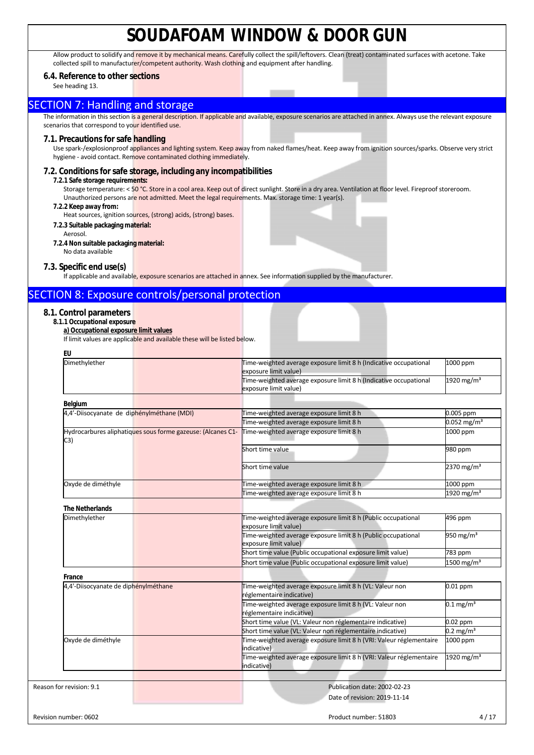Allow product to solidify and remove it by mechanical means. Carefully collect the spill/leftovers. Clean (treat) contaminated surfaces with acetone. Take collected spill to manufacturer/competent authority. Wash clothing and equipment after handling.

## **6.4. Reference to other sections**

See heading 13.

## **SECTION 7: Handling and storage**

The information in this section is a general description. If applicable and available, exposure scenarios are attached in annex. Always use the relevant exposure scenarios that correspond to your identified use.

### **7.1. Precautions for safe handling**

Use spark-/explosionproof appliances and lighting system. Keep away from naked flames/heat. Keep away from ignition sources/sparks. Observe very strict hygiene - avoid contact. Remove contaminated clothing immediately.

### **7.2. Conditions for safe storage, including any incompatibilities**

#### **7.2.1 Safe storage requirements:**

Storage temperature: < 50 °C. Store in a cool area. Keep out of direct sunlight. Store in a dry area. Ventilation at floor level. Fireproof storeroom. Unauthorized persons are not admitted. Meet the legal requirements. Max. storage time: 1 year(s).

### **7.2.2 Keep away from:**

Heat sources, ignition sources, (strong) acids, (strong) bases.

#### **7.2.3 Suitable packaging material:**  Aerosol.

- **7.2.4 Non suitable packaging material:**
- No data available

## **7.3. Specific end use(s)**

If applicable and available, exposure scenarios are attached in annex. See information supplied by the manufacturer.

## SECTION 8: Exposure controls/personal protection

## **8.1. Control parameters**

## **8.1.1 Occupational exposure**

**a) Occupational exposure limit values** 

If limit values are applicable and available these will be listed below.

| EU                                         |                                                             |                                                                                            |                           |
|--------------------------------------------|-------------------------------------------------------------|--------------------------------------------------------------------------------------------|---------------------------|
| Dimethylether                              |                                                             | Time-weighted average exposure limit 8 h (Indicative occupational<br>exposure limit value) | 1000 ppm                  |
|                                            |                                                             | Time-weighted average exposure limit 8 h (Indicative occupational<br>exposure limit value) | 1920 mg/m <sup>3</sup>    |
| Belgium                                    |                                                             |                                                                                            |                           |
| 4,4'-Diisocyanate de diphénylméthane (MDI) |                                                             | Time-weighted average exposure limit 8 h                                                   | 0.005 ppm                 |
|                                            |                                                             | Time-weighted average exposure limit 8 h                                                   | $0.052$ mg/m <sup>3</sup> |
| C3)                                        | Hydrocarbures aliphatiques sous forme gazeuse: (Alcanes C1- | Time-weighted average exposure limit 8 h                                                   | 1000 ppm                  |
|                                            |                                                             | Short time value                                                                           | 980 ppm                   |
|                                            |                                                             | Short time value                                                                           | 2370 mg/m <sup>3</sup>    |
| Oxyde de diméthyle                         |                                                             | Time-weighted average exposure limit 8 h                                                   | 1000 ppm                  |
|                                            |                                                             | Time-weighted average exposure limit 8 h                                                   | 1920 mg/m <sup>3</sup>    |
| <b>The Netherlands</b>                     |                                                             |                                                                                            |                           |
| Dimethylether                              |                                                             | Time-weighted average exposure limit 8 h (Public occupational<br>exposure limit value)     | 496 ppm                   |
|                                            |                                                             | Time-weighted average exposure limit 8 h (Public occupational<br>exposure limit value)     | 950 mg/m <sup>3</sup>     |
|                                            |                                                             | Short time value (Public occupational exposure limit value)                                | 783 ppm                   |
|                                            |                                                             | Short time value (Public occupational exposure limit value)                                | $1500$ mg/m <sup>3</sup>  |
| France                                     |                                                             |                                                                                            |                           |
| 4,4'-Diisocyanate de diphénylméthane       |                                                             | Time-weighted average exposure limit 8 h (VL: Valeur non<br>réglementaire indicative)      | 0.01 ppm                  |
|                                            |                                                             | Time-weighted average exposure limit 8 h (VL: Valeur non<br>réglementaire indicative)      | $0.1 \,\mathrm{mg/m^3}$   |
|                                            |                                                             | Short time value (VL: Valeur non réglementaire indicative)                                 | $0.02$ ppm                |
|                                            |                                                             | Short time value (VL: Valeur non réglementaire indicative)                                 | $0.2 \text{ mg/m}^3$      |
| Oxyde de diméthyle                         |                                                             | Time-weighted average exposure limit 8 h (VRI: Valeur réglementaire<br>indicative)         | 1000 ppm                  |
|                                            |                                                             | Time-weighted average exposure limit 8 h (VRI: Valeur réglementaire<br>indicative)         | 1920 mg/m <sup>3</sup>    |
|                                            |                                                             |                                                                                            |                           |
| Reason for revision: 9.1                   |                                                             | Publication date: 2002-02-23                                                               |                           |
|                                            |                                                             | Date of revision: 2019-11-14                                                               |                           |
|                                            |                                                             |                                                                                            |                           |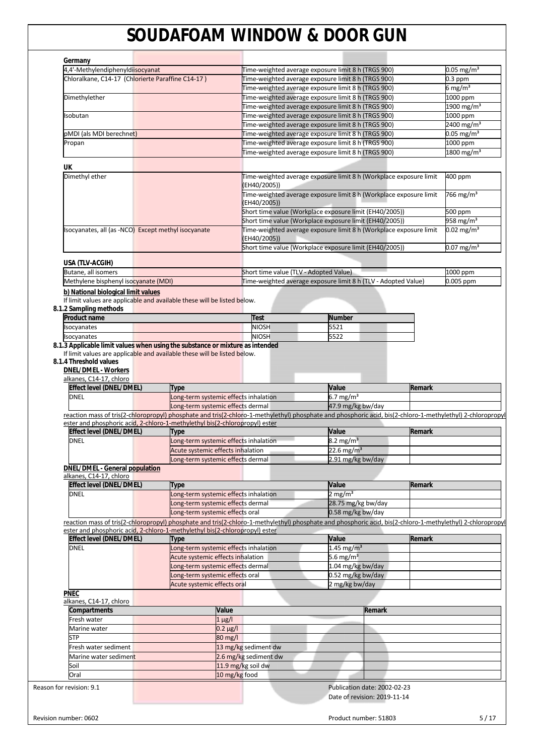|                                                                                                                                                                                                                                           | 4,4'-Methylendiphenyldiisocyanat |                                                                            |                    |                                        | Time-weighted average exposure limit 8 h (TRGS 900)                |        | $0.05 \,\mathrm{mg/m^3}$ |
|-------------------------------------------------------------------------------------------------------------------------------------------------------------------------------------------------------------------------------------------|----------------------------------|----------------------------------------------------------------------------|--------------------|----------------------------------------|--------------------------------------------------------------------|--------|--------------------------|
| Chloralkane, C14-17 (Chlorierte Paraffine C14-17)                                                                                                                                                                                         |                                  |                                                                            |                    |                                        | Time-weighted average exposure limit 8 h (TRGS 900)                |        | $0.3$ ppm                |
|                                                                                                                                                                                                                                           |                                  |                                                                            |                    |                                        | Time-weighted average exposure limit 8 h (TRGS 900)                |        | 6 mg/m $^3$              |
| Dimethylether                                                                                                                                                                                                                             |                                  |                                                                            |                    |                                        | Time-weighted average exposure limit 8 h (TRGS 900)                |        | 1000 ppm                 |
|                                                                                                                                                                                                                                           |                                  |                                                                            |                    |                                        | Time-weighted average exposure limit 8 h (TRGS 900)                |        | 1900 mg/m <sup>3</sup>   |
| Isobutan                                                                                                                                                                                                                                  |                                  |                                                                            |                    |                                        | Time-weighted average exposure limit 8 h (TRGS 900)                |        | 1000 ppm                 |
|                                                                                                                                                                                                                                           |                                  |                                                                            |                    |                                        |                                                                    |        |                          |
|                                                                                                                                                                                                                                           |                                  |                                                                            |                    |                                        | Time-weighted average exposure limit 8 h (TRGS 900)                |        | 2400 mg/m <sup>3</sup>   |
| pMDI (als MDI berechnet)                                                                                                                                                                                                                  |                                  |                                                                            |                    |                                        | Time-weighted average exposure limit 8 h (TRGS 900)                |        | $0.05$ mg/m <sup>3</sup> |
| Propan                                                                                                                                                                                                                                    |                                  |                                                                            |                    |                                        | Time-weighted average exposure limit 8 h (TRGS 900)                |        | 1000 ppm                 |
|                                                                                                                                                                                                                                           |                                  |                                                                            |                    |                                        | Time-weighted average exposure limit 8 h (TRGS 900)                |        | $1800 \text{ mg/m}^3$    |
| UK                                                                                                                                                                                                                                        |                                  |                                                                            |                    |                                        |                                                                    |        |                          |
| Dimethyl ether                                                                                                                                                                                                                            |                                  |                                                                            |                    | (EH40/2005))                           | Time-weighted average exposure limit 8 h (Workplace exposure limit |        | 400 ppm                  |
|                                                                                                                                                                                                                                           |                                  |                                                                            |                    | (EH40/2005))                           | Time-weighted average exposure limit 8 h (Workplace exposure limit |        | 766 mg/m <sup>3</sup>    |
|                                                                                                                                                                                                                                           |                                  |                                                                            |                    |                                        | Short time value (Workplace exposure limit (EH40/2005))            |        | 500 ppm                  |
|                                                                                                                                                                                                                                           |                                  |                                                                            |                    |                                        | Short time value (Workplace exposure limit (EH40/2005))            |        | 958 mg/m <sup>3</sup>    |
| Isocyanates, all (as -NCO) Except methyl isocyanate                                                                                                                                                                                       |                                  |                                                                            |                    |                                        | Time-weighted average exposure limit 8 h (Workplace exposure limit |        | $0.02 \text{ mg/m}^3$    |
|                                                                                                                                                                                                                                           |                                  |                                                                            |                    | (EH40/2005))                           |                                                                    |        |                          |
|                                                                                                                                                                                                                                           |                                  |                                                                            |                    |                                        | Short time value (Workplace exposure limit (EH40/2005))            |        | $0.07 \,\mathrm{mg/m^3}$ |
|                                                                                                                                                                                                                                           |                                  |                                                                            |                    |                                        |                                                                    |        |                          |
| USA (TLV-ACGIH)                                                                                                                                                                                                                           |                                  |                                                                            |                    |                                        |                                                                    |        |                          |
| Butane, all isomers                                                                                                                                                                                                                       |                                  |                                                                            |                    | Short time value (TLV - Adopted Value) |                                                                    |        | 1000 ppm                 |
| Methylene bisphenyl isocyanate (MDI)                                                                                                                                                                                                      |                                  |                                                                            |                    |                                        | Time-weighted average exposure limit 8 h (TLV - Adopted Value)     |        | 0.005 ppm                |
| b) National biological limit values                                                                                                                                                                                                       |                                  |                                                                            |                    |                                        |                                                                    |        |                          |
| If limit values are applicable and available these will be listed below.                                                                                                                                                                  |                                  |                                                                            |                    |                                        |                                                                    |        |                          |
| 8.1.2 Sampling methods                                                                                                                                                                                                                    |                                  |                                                                            |                    |                                        |                                                                    |        |                          |
| <b>Product name</b>                                                                                                                                                                                                                       |                                  |                                                                            |                    | <b>Test</b>                            | <b>Number</b>                                                      |        |                          |
| Isocyanates                                                                                                                                                                                                                               |                                  |                                                                            |                    | <b>NIOSH</b>                           | 5521                                                               |        |                          |
| Isocyanates                                                                                                                                                                                                                               |                                  |                                                                            |                    | <b>NIOSH</b>                           | 5522                                                               |        |                          |
| 8.1.3 Applicable limit values when using the substance or mixture as intended                                                                                                                                                             |                                  |                                                                            |                    |                                        |                                                                    |        |                          |
| alkanes, C14-17, chloro                                                                                                                                                                                                                   |                                  |                                                                            |                    |                                        |                                                                    |        |                          |
| Effect level (DNEL/DMEL)                                                                                                                                                                                                                  |                                  | Type                                                                       |                    |                                        | Value                                                              | Remark |                          |
| <b>DNEL</b>                                                                                                                                                                                                                               |                                  | Long-term systemic effects inhalation                                      |                    |                                        | 6.7 mg/m <sup>3</sup>                                              |        |                          |
|                                                                                                                                                                                                                                           |                                  | Long-term systemic effects dermal                                          |                    |                                        | 47.9 mg/kg bw/day                                                  |        |                          |
| reaction mass of tris(2-chloropropyl) phosphate and tris(2-chloro-1-methylethyl) phosphate and phosphoric acid, bis(2-chloro-1-methylethyl) 2-chloropropyl                                                                                |                                  |                                                                            |                    |                                        |                                                                    |        |                          |
| ester and phosphoric acid, 2-chloro-1-methylethyl bis(2-chloropropyl) ester<br><b>Effect level (DNEL/DMEL)</b>                                                                                                                            |                                  | Type                                                                       |                    |                                        | Value                                                              | Remark |                          |
| <b>DNEL</b>                                                                                                                                                                                                                               |                                  | Long-term systemic effects inhalation                                      |                    |                                        | $8.2 \text{ mg/m}^3$                                               |        |                          |
|                                                                                                                                                                                                                                           |                                  | Acute systemic effects inhalation                                          |                    |                                        | $22.6 \text{ mg/m}^3$                                              |        |                          |
|                                                                                                                                                                                                                                           |                                  |                                                                            |                    |                                        |                                                                    |        |                          |
|                                                                                                                                                                                                                                           |                                  | Long-term systemic effects dermal                                          |                    |                                        | 2.91 mg/kg bw/day                                                  |        |                          |
| <b>DNEL/DMEL - General population</b><br>alkanes, C14-17, chloro                                                                                                                                                                          |                                  |                                                                            |                    |                                        |                                                                    |        |                          |
| <b>Effect level (DNEL/DMEL)</b>                                                                                                                                                                                                           |                                  | Type                                                                       |                    |                                        | Value                                                              | Remark |                          |
| <b>DNEL</b>                                                                                                                                                                                                                               |                                  | Long-term systemic effects inhalation                                      |                    |                                        | $2$ mg/m <sup>3</sup>                                              |        |                          |
|                                                                                                                                                                                                                                           |                                  | Long-term systemic effects dermal                                          |                    |                                        |                                                                    |        |                          |
|                                                                                                                                                                                                                                           |                                  | Long-term systemic effects oral                                            |                    |                                        | 28.75 mg/kg bw/day<br>0.58 mg/kg bw/day                            |        |                          |
|                                                                                                                                                                                                                                           |                                  |                                                                            |                    |                                        |                                                                    |        |                          |
| reaction mass of tris(2-chloropropyl) phosphate and tris(2-chloro-1-methylethyl) phosphate and phosphoric acid, bis(2-chloro-1-methylethyl) 2-chloropropyl<br>ester and phosphoric acid, 2-chloro-1-methylethyl bis(2-chloropropyl) ester |                                  |                                                                            |                    |                                        |                                                                    |        |                          |
|                                                                                                                                                                                                                                           |                                  | <b>Type</b>                                                                |                    |                                        | Value                                                              | Remark |                          |
| <b>Effect level (DNEL/DMEL)</b><br><b>DNEL</b>                                                                                                                                                                                            |                                  |                                                                            |                    |                                        |                                                                    |        |                          |
|                                                                                                                                                                                                                                           |                                  | Long-term systemic effects inhalation<br>Acute systemic effects inhalation |                    |                                        | 1.45 mg/m <sup>3</sup><br>5.6 mg/m <sup>3</sup>                    |        |                          |
|                                                                                                                                                                                                                                           |                                  |                                                                            |                    |                                        |                                                                    |        |                          |
|                                                                                                                                                                                                                                           |                                  | Long-term systemic effects dermal                                          |                    |                                        | 1.04 mg/kg bw/day                                                  |        |                          |
|                                                                                                                                                                                                                                           |                                  | Long-term systemic effects oral                                            |                    |                                        | 0.52 mg/kg bw/day                                                  |        |                          |
|                                                                                                                                                                                                                                           |                                  | Acute systemic effects oral                                                |                    |                                        | 2 mg/kg bw/day                                                     |        |                          |
| <b>PNEC</b>                                                                                                                                                                                                                               |                                  |                                                                            |                    |                                        |                                                                    |        |                          |
| alkanes, C14-17, chloro                                                                                                                                                                                                                   |                                  |                                                                            |                    |                                        |                                                                    |        |                          |
| Compartments                                                                                                                                                                                                                              |                                  |                                                                            | Value              |                                        | Remark                                                             |        |                          |
| Fresh water                                                                                                                                                                                                                               |                                  |                                                                            | $1 \mu$ g/l        |                                        |                                                                    |        |                          |
| Marine water                                                                                                                                                                                                                              |                                  |                                                                            | $0.2 \mu g/l$      |                                        |                                                                    |        |                          |
| <b>STP</b>                                                                                                                                                                                                                                |                                  |                                                                            | 80 mg/l            |                                        |                                                                    |        |                          |
| Fresh water sediment                                                                                                                                                                                                                      |                                  |                                                                            |                    | 13 mg/kg sediment dw                   |                                                                    |        |                          |
| Marine water sediment                                                                                                                                                                                                                     |                                  |                                                                            |                    | 2.6 mg/kg sediment dw                  |                                                                    |        |                          |
| Soil                                                                                                                                                                                                                                      |                                  |                                                                            | 11.9 mg/kg soil dw |                                        |                                                                    |        |                          |
| Oral                                                                                                                                                                                                                                      |                                  |                                                                            | 10 mg/kg food      |                                        |                                                                    |        |                          |
| Reason for revision: 9.1                                                                                                                                                                                                                  |                                  |                                                                            |                    |                                        | Publication date: 2002-02-23                                       |        |                          |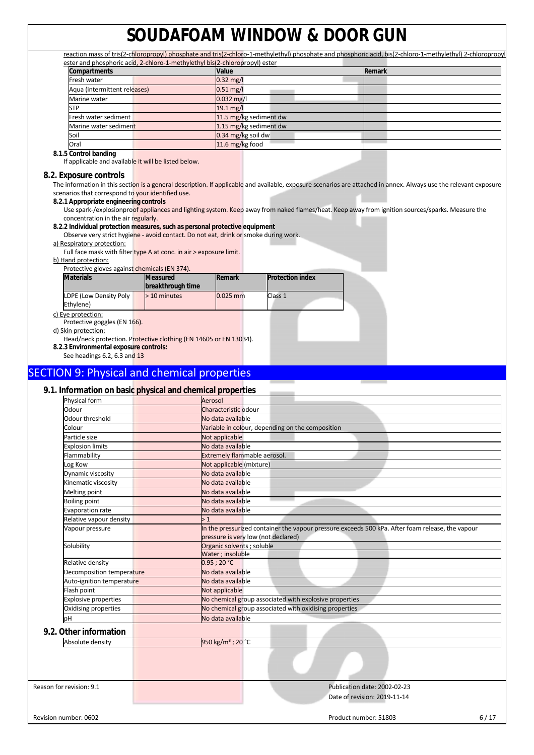|                              |                                                                             |                        |                        | reaction mass of tris(2-chloropropyl) phosphate and tris(2-chloro-1-methylethyl) phosphate and phosphoric acid, bis(2-chloro-1-methylethyl) 2-chloropropyl |
|------------------------------|-----------------------------------------------------------------------------|------------------------|------------------------|------------------------------------------------------------------------------------------------------------------------------------------------------------|
|                              | ester and phosphoric acid, 2-chloro-1-methylethyl bis(2-chloropropyl) ester |                        |                        |                                                                                                                                                            |
| <b>Compartments</b>          |                                                                             | Value                  |                        | <b>Remark</b>                                                                                                                                              |
| Fresh water                  |                                                                             | $0.32 \text{ mg/l}$    |                        |                                                                                                                                                            |
| Aqua (intermittent releases) |                                                                             | $0.51 \,\mathrm{mg/l}$ |                        |                                                                                                                                                            |
| Marine water                 |                                                                             | $0.032$ mg/l           |                        |                                                                                                                                                            |
| <b>STP</b>                   |                                                                             | $19.1 \text{ mg/l}$    |                        |                                                                                                                                                            |
| Fresh water sediment         |                                                                             |                        | 11.5 mg/kg sediment dw |                                                                                                                                                            |
| Marine water sediment        |                                                                             |                        | 1.15 mg/kg sediment dw |                                                                                                                                                            |
| Soil                         |                                                                             | $0.34$ mg/kg soil dw   |                        |                                                                                                                                                            |
| Oral                         |                                                                             | 11.6 $mg/kg$ food      |                        |                                                                                                                                                            |
| 0 1 5 Control banding        |                                                                             |                        |                        |                                                                                                                                                            |

**8.1.5 Control banding** 

If applicable and available it will be listed below.

### **8.2. Exposure controls**

The information in this section is a general description. If applicable and available, exposure scenarios are attached in annex. Always use the relevant exposure scenarios that correspond to your identified use.

**8.2.1 Appropriate engineering controls**

Use spark-/explosionproof appliances and lighting system. Keep away from naked flames/heat. Keep away from ignition sources/sparks. Measure the concentration in the air regularly.

### **8.2.2 Individual protection measures, such as personal protective equipment**

Observe very strict hygiene - avoid contact. Do not eat, drink or smoke during work.

### a) Respiratory protection:

Full face mask with filter type A at conc. in air > exposure limit.

#### b) Hand protection:

| Protective gloves against chemicals (EN 374).                                                                                                                   |                                      |            |                         |  |
|-----------------------------------------------------------------------------------------------------------------------------------------------------------------|--------------------------------------|------------|-------------------------|--|
| <b>Materials</b>                                                                                                                                                | <b>Measured</b><br>breakthrough time | Remark     | <b>Protection index</b> |  |
| LDPE (Low Density Poly<br>Ethylene)                                                                                                                             | > 10 minutes                         | $0.025$ mm | Class 1                 |  |
| c) Eye protection:<br>Protective goggles (EN 166).<br>d) Skin protection:                                                                                       |                                      |            |                         |  |
| Head/neck protection. Protective clothing (EN 14605 or EN 13034).<br>8.2.3 Environmental exposure controls:<br>$\cos$ hoodings $\epsilon$ 2 $\epsilon$ 2 and 12 |                                      |            |                         |  |

See headings 6.2, 6.3 and 13

## SECTION 9: Physical and chemical properties

## **9.1. Information on basic physical and chemical properties**

| Physical form               | Aerosol                                                                                          |
|-----------------------------|--------------------------------------------------------------------------------------------------|
| Odour                       | Characteristic odour                                                                             |
| Odour threshold             | No data available                                                                                |
| Colour                      | Variable in colour, depending on the composition                                                 |
| Particle size               | Not applicable                                                                                   |
| <b>Explosion limits</b>     | No data available                                                                                |
| Flammability                | Extremely flammable aerosol.                                                                     |
| Log Kow                     | Not applicable (mixture)                                                                         |
| Dynamic viscosity           | No data available                                                                                |
| Kinematic viscosity         | No data available                                                                                |
| Melting point               | No data available                                                                                |
| <b>Boiling point</b>        | No data available                                                                                |
| Evaporation rate            | No data available                                                                                |
| Relative vapour density     | >1                                                                                               |
| Vapour pressure             | In the pressurized container the vapour pressure exceeds 500 kPa. After foam release, the vapour |
|                             | pressure is very low (not declared)                                                              |
| Solubility                  | Organic solvents ; soluble                                                                       |
|                             | Water ; insoluble                                                                                |
| Relative density            | 0.95:20 °C                                                                                       |
| Decomposition temperature   | No data available                                                                                |
| Auto-ignition temperature   | No data available                                                                                |
| Flash point                 | Not applicable                                                                                   |
| <b>Explosive properties</b> | No chemical group associated with explosive properties                                           |
| Oxidising properties        | No chemical group associated with oxidising properties                                           |
| bН                          | No data available                                                                                |
| Other information           |                                                                                                  |
| Absolute density            | 950 kg/m <sup>3</sup> : 20 °C                                                                    |

## **9.2**

| Absolute density         | 950 kg/m <sup>3</sup> ; 20 °C |                                                              |      |
|--------------------------|-------------------------------|--------------------------------------------------------------|------|
|                          |                               |                                                              |      |
| Reason for revision: 9.1 |                               | Publication date: 2002-02-23<br>Date of revision: 2019-11-14 |      |
| Revision number: 0602    |                               | Product number: 51803                                        | 6/17 |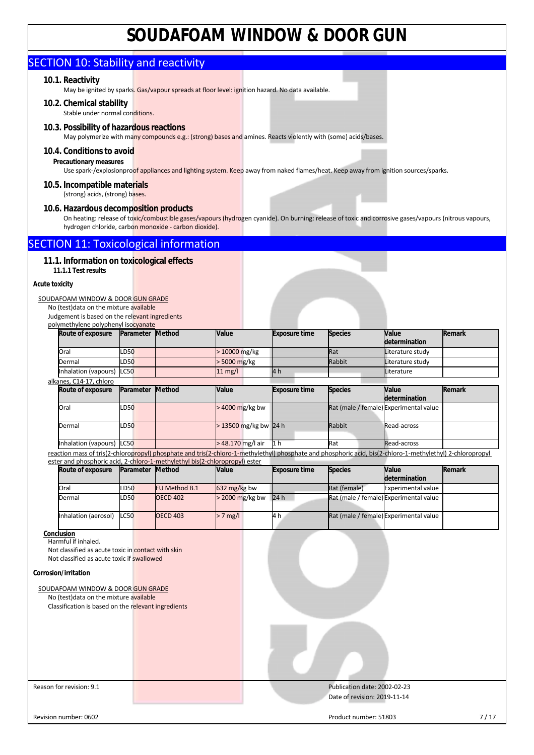## SECTION 10: Stability and reactivity

## **10.1. Reactivity**

May be ignited by sparks. Gas/vapour spreads at floor level: ignition hazard. No data available.

**10.2. Chemical stability**  Stable under normal conditions.

## **10.3. Possibility of hazardous reactions**

May polymerize with many compounds e.g.: (strong) bases and amines. Reacts violently with (some) acids/bases.

## **10.4. Conditions to avoid**

## **Precautionary measures**

Use spark-/explosionproof appliances and lighting system. Keep away from naked flames/heat. Keep away from ignition sources/sparks.

#### **10.5. Incompatible materials**  (strong) acids, (strong) bases.

## **10.6. Hazardous decomposition products**

On heating: release of toxic/combustible gases/vapours (hydrogen cyanide). On burning: release of toxic and corrosive gases/vapours (nitrous vapours, hydrogen chloride, carbon monoxide - carbon dioxide).

## SECTION 11: Toxicological information

## **11.1. Information on toxicological effects**

**11.1.1 Test results** 

### **Acute toxicity**

### SOUDAFOAM WINDOW & DOOR GUN GRADE

No (test)data on the mixture available Judgement is based on the relevant ingredients polymethylene polyphenyl isocyanate

| Route of exposure         | Parameter   | <b>Method</b> | Value                   | <b>Exposure time</b> | <b>Species</b> | Value<br>determination                 | Remark |
|---------------------------|-------------|---------------|-------------------------|----------------------|----------------|----------------------------------------|--------|
| Oral                      | <b>LD50</b> |               | $>10000$ mg/kg          |                      | <b>Rat</b>     | Literature study                       |        |
| Dermal                    | <b>LD50</b> |               | $> 5000$ mg/kg          |                      | Rabbit         | Literature study                       |        |
| Inhalation (vapours) LC50 |             |               | $11 \text{ mg/l}$       | 4h                   |                | <b>Literature</b>                      |        |
| alkanes, C14-17, chloro   |             |               |                         |                      |                |                                        |        |
| Route of exposure         | Parameter   | Method        | Value                   | <b>Exposure time</b> | <b>Species</b> | Value<br>determination                 | Remark |
| Oral                      | <b>LD50</b> |               | $>$ 4000 mg/kg bw       |                      |                | Rat (male / female) Experimental value |        |
| Dermal                    | <b>LD50</b> |               | $> 13500$ mg/kg bw 24 h |                      | Rabbit         | Read-across                            |        |

Inhalation (vapours) LC50 > 48.170 mg/l air 1 h Rat Read-across reaction mass of tris(2-chloropropyl) phosphate and tris(2-chloro-1-methylethyl) phosphate and phosphoric acid, bis(2-chloro-1-methylethyl) 2-chloropropyl ester and phosphoric acid, 2-chloro-1-methylethyl bis(2-chloropropyl) ester

| Route of exposure    |             | Parameter | <b>Method</b>   | <b>Value</b>           | <b>Exposure time</b> | <b>Species</b> | <b>Value</b>                           | Remark |
|----------------------|-------------|-----------|-----------------|------------------------|----------------------|----------------|----------------------------------------|--------|
|                      |             |           |                 |                        |                      |                | determination                          |        |
| Oral                 | <b>LD50</b> |           | EU Method B.1   | $632 \text{ mg/kg}$ bw |                      | Rat (female)   | <b>Experimental value</b>              |        |
| Dermal               | <b>LD50</b> |           | <b>OECD 402</b> | $>$ 2000 mg/kg bw      | 24h                  |                | Rat (male / female) Experimental value |        |
| Inhalation (aerosol) | <b>LC50</b> |           | <b>OECD 403</b> | $> 7$ mg/l             | 4 h                  |                | Rat (male / female) Experimental value |        |

#### **Conclusion**  Harmful if inhaled.

Not classified as acute toxic in contact with skin Not classified as acute toxic if swallowed

#### **Corrosion/irritation**

|  | SOUDAFOAM WINDOW & DOOR GUN GRADE |  |
|--|-----------------------------------|--|
|--|-----------------------------------|--|

No (test)data on the mixture available Classification is based on the relevant ingredients

Reason for revision: 9.1 **Publication date: 2002-02-23** Date of revision: 2019-11-14

Revision number: 0602 7/17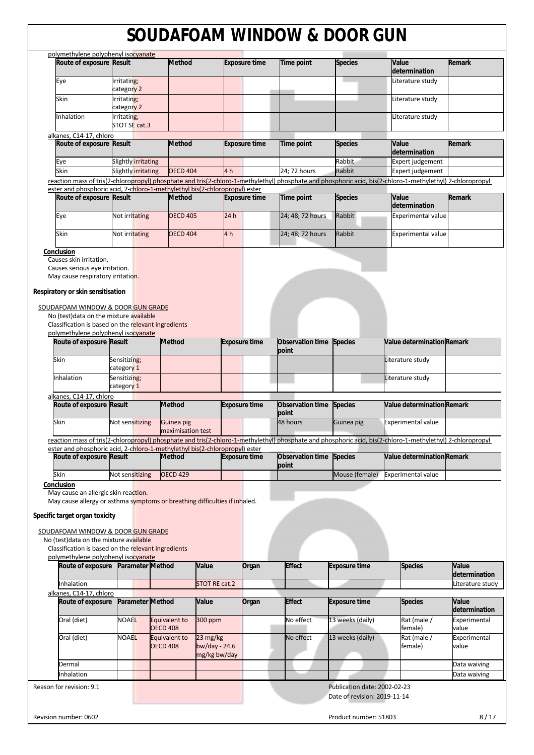| polymethylene polyphenyl isocyanate<br>Route of exposure Result             |                              | <b>Method</b>                    |                 | <b>Exposure time</b> | Time point                       | <b>Species</b>                                               | Value<br>determination                                                                                                                                     | Remark                 |
|-----------------------------------------------------------------------------|------------------------------|----------------------------------|-----------------|----------------------|----------------------------------|--------------------------------------------------------------|------------------------------------------------------------------------------------------------------------------------------------------------------------|------------------------|
| Eye                                                                         | Irritating;                  |                                  |                 |                      |                                  |                                                              | Literature study                                                                                                                                           |                        |
| Skin                                                                        | category 2<br>Irritating;    |                                  |                 |                      |                                  |                                                              | Literature study                                                                                                                                           |                        |
|                                                                             | category 2                   |                                  |                 |                      |                                  |                                                              |                                                                                                                                                            |                        |
| nhalation                                                                   | Irritating;<br>STOT SE cat.3 |                                  |                 |                      |                                  |                                                              | Literature study                                                                                                                                           |                        |
| alkanes, C14-17, chloro                                                     |                              |                                  |                 |                      |                                  |                                                              |                                                                                                                                                            |                        |
| Route of exposure Result                                                    |                              | <b>Method</b>                    |                 | <b>Exposure time</b> | <b>Time point</b>                | <b>Species</b>                                               | Value                                                                                                                                                      | Remark                 |
| Eye                                                                         | <b>Slightly irritating</b>   |                                  |                 |                      |                                  | Rabbit                                                       | determination<br>Expert judgement                                                                                                                          |                        |
| Skin                                                                        | Slightly irritating          | <b>OECD 404</b>                  | 4 <sub>h</sub>  |                      | 24; 72 hours                     | <b>Rabbit</b>                                                | <b>Expert judgement</b>                                                                                                                                    |                        |
|                                                                             |                              |                                  |                 |                      |                                  |                                                              | reaction mass of tris(2-chloropropyl) phosphate and tris(2-chloro-1-methylethyl) phosphate and phosphoric acid, bis(2-chloro-1-methylethyl) 2-chloropropyl |                        |
| ester and phosphoric acid, 2-chloro-1-methylethyl bis(2-chloropropyl) ester |                              |                                  |                 |                      |                                  |                                                              |                                                                                                                                                            |                        |
| Route of exposure Result                                                    |                              | <b>Method</b>                    |                 | <b>Exposure time</b> | <b>Time point</b>                | <b>Species</b>                                               | Value<br>determination                                                                                                                                     | Remark                 |
| Eye                                                                         | Not irritating               | <b>OECD 405</b>                  | 24 h            |                      | 24; 48; 72 hours                 | Rabbit                                                       | <b>Experimental value</b>                                                                                                                                  |                        |
| Skin                                                                        | Not irritating               | <b>OECD 404</b>                  | 4 <sub>h</sub>  |                      | 24; 48; 72 hours                 | Rabbit                                                       | <b>Experimental value</b>                                                                                                                                  |                        |
|                                                                             |                              |                                  |                 |                      |                                  |                                                              |                                                                                                                                                            |                        |
| Conclusion<br>Causes skin irritation.                                       |                              |                                  |                 |                      |                                  |                                                              |                                                                                                                                                            |                        |
| Causes serious eye irritation.                                              |                              |                                  |                 |                      |                                  |                                                              |                                                                                                                                                            |                        |
| May cause respiratory irritation.                                           |                              |                                  |                 |                      |                                  |                                                              |                                                                                                                                                            |                        |
| Respiratory or skin sensitisation                                           |                              |                                  |                 |                      |                                  |                                                              |                                                                                                                                                            |                        |
| SOUDAFOAM WINDOW & DOOR GUN GRADE                                           |                              |                                  |                 |                      |                                  |                                                              |                                                                                                                                                            |                        |
| No (test) data on the mixture available                                     |                              |                                  |                 |                      |                                  |                                                              |                                                                                                                                                            |                        |
| Classification is based on the relevant ingredients                         |                              |                                  |                 |                      |                                  |                                                              |                                                                                                                                                            |                        |
| polymethylene polyphenyl isocyanate                                         |                              |                                  |                 |                      |                                  |                                                              |                                                                                                                                                            |                        |
| Route of exposure Result                                                    |                              | <b>Method</b>                    |                 | <b>Exposure time</b> | Observation time<br>point        | <b>Species</b>                                               | <b>Value determination Remark</b>                                                                                                                          |                        |
| Skin                                                                        | Sensitizing;<br>category 1   |                                  |                 |                      |                                  |                                                              | Literature study                                                                                                                                           |                        |
| Inhalation                                                                  | Sensitizing;                 |                                  |                 |                      |                                  |                                                              | Literature study                                                                                                                                           |                        |
|                                                                             | category 1                   |                                  |                 |                      |                                  |                                                              |                                                                                                                                                            |                        |
| alkanes, C14-17, chloro                                                     |                              |                                  |                 |                      |                                  |                                                              |                                                                                                                                                            |                        |
| Route of exposure Result                                                    |                              | <b>Method</b>                    |                 | Exposure time        | <b>Observation time</b><br>point | <b>Species</b>                                               | <b>Value determination Remark</b>                                                                                                                          |                        |
| Skin                                                                        | Not sensitizing              | Guinea pig                       |                 |                      | 48 hours                         | Guinea pig                                                   | <b>Experimental value</b>                                                                                                                                  |                        |
|                                                                             |                              | maximisation test                |                 |                      |                                  |                                                              |                                                                                                                                                            |                        |
| ester and phosphoric acid, 2-chloro-1-methylethyl bis(2-chloropropyl) ester |                              |                                  |                 |                      |                                  |                                                              | reaction mass of tris(2-chloropropyl) phosphate and tris(2-chloro-1-methylethyl) phosphate and phosphoric acid, bis(2-chloro-1-methylethyl) 2-chloropropyl |                        |
| Route of exposure Result                                                    |                              | <b>Method</b>                    |                 | <b>Exposure time</b> | Observation time<br>point        | <b>Species</b>                                               | Value determination Remark                                                                                                                                 |                        |
| Skin                                                                        | Not sensitizing              | <b>OECD 429</b>                  |                 |                      |                                  | Mouse (female)                                               | <b>Experimental value</b>                                                                                                                                  |                        |
| Conclusion                                                                  |                              |                                  |                 |                      |                                  |                                                              |                                                                                                                                                            |                        |
| May cause an allergic skin reaction.                                        |                              |                                  |                 |                      |                                  |                                                              |                                                                                                                                                            |                        |
| May cause allergy or asthma symptoms or breathing difficulties if inhaled.  |                              |                                  |                 |                      |                                  |                                                              |                                                                                                                                                            |                        |
| Specific target organ toxicity                                              |                              |                                  |                 |                      |                                  |                                                              |                                                                                                                                                            |                        |
| SOUDAFOAM WINDOW & DOOR GUN GRADE                                           |                              |                                  |                 |                      |                                  |                                                              |                                                                                                                                                            |                        |
| No (test) data on the mixture available                                     |                              |                                  |                 |                      |                                  |                                                              |                                                                                                                                                            |                        |
| Classification is based on the relevant ingredients                         |                              |                                  |                 |                      |                                  |                                                              |                                                                                                                                                            |                        |
| polymethylene polyphenyl isocyanate<br>Route of exposure Parameter Method   |                              |                                  | Value           | Organ                | <b>Effect</b>                    | <b>Exposure time</b>                                         | <b>Species</b>                                                                                                                                             | Value                  |
|                                                                             |                              |                                  |                 |                      |                                  |                                                              |                                                                                                                                                            | determination          |
| Inhalation                                                                  |                              |                                  | STOT RE cat.2   |                      |                                  |                                                              |                                                                                                                                                            | Literature study       |
| alkanes, C14-17, chloro                                                     |                              |                                  |                 |                      | <b>Effect</b>                    |                                                              |                                                                                                                                                            |                        |
| Route of exposure                                                           | Parameter Method             |                                  | Value           | Organ                |                                  | <b>Exposure time</b>                                         | <b>Species</b>                                                                                                                                             | Value<br>determination |
| Oral (diet)                                                                 | NOAEL                        | Equivalent to<br><b>OECD 408</b> | 300 ppm         |                      | No effect                        | 13 weeks (daily)                                             | Rat (male /<br>female)                                                                                                                                     | Experimental<br>value  |
| Oral (diet)                                                                 | <b>NOAEL</b>                 | Equivalent to                    | 23 mg/kg        |                      | No effect                        | 13 weeks (daily)                                             | $\overline{R}$ at (male /                                                                                                                                  | Experimental           |
|                                                                             |                              | <b>OECD 408</b>                  | $bw/day - 24.6$ |                      |                                  |                                                              | female)                                                                                                                                                    | value                  |
|                                                                             |                              |                                  | mg/kg bw/day    |                      |                                  |                                                              |                                                                                                                                                            |                        |
| Dermal                                                                      |                              |                                  |                 |                      |                                  |                                                              |                                                                                                                                                            | Data waiving           |
| Inhalation                                                                  |                              |                                  |                 |                      |                                  |                                                              |                                                                                                                                                            | Data waiving           |
| Reason for revision: 9.1                                                    |                              |                                  |                 |                      |                                  | Publication date: 2002-02-23<br>Date of revision: 2019-11-14 |                                                                                                                                                            |                        |
|                                                                             |                              |                                  |                 |                      |                                  |                                                              |                                                                                                                                                            |                        |
| Revision number: 0602                                                       |                              |                                  |                 |                      |                                  | Product number: 51803                                        |                                                                                                                                                            | 8/17                   |
|                                                                             |                              |                                  |                 |                      |                                  |                                                              |                                                                                                                                                            |                        |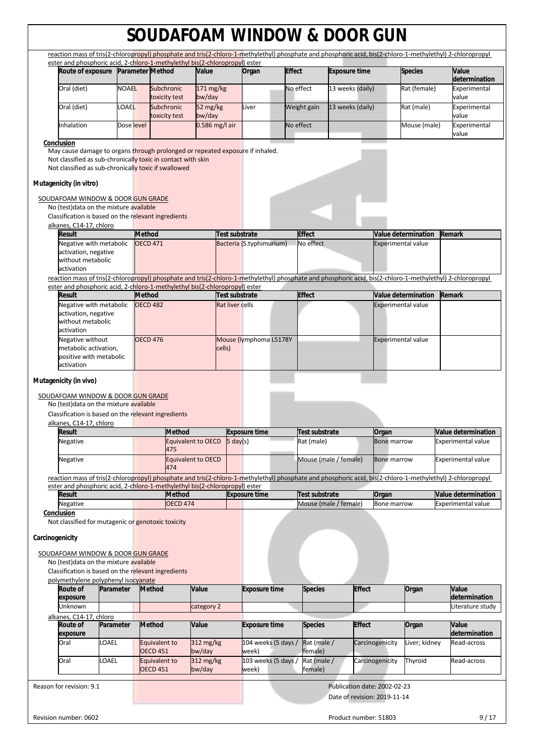|                                                                                                                                                                                                                                                                                                                                                                                                                                                                                                                                         |              |                                  | ester and phosphoric acid, 2-chloro-1-methylethyl bis(2-chloropropyl) ester |                            |                        |                              |               |                        | reaction mass of tris(2-chloropropyl) phosphate and tris(2-chloro-1-methylethyl) phosphate and phosphoric acid, bis(2-chloro-1-methylethyl) 2-chloropropyl |                                                              |                           |                                                  |
|-----------------------------------------------------------------------------------------------------------------------------------------------------------------------------------------------------------------------------------------------------------------------------------------------------------------------------------------------------------------------------------------------------------------------------------------------------------------------------------------------------------------------------------------|--------------|----------------------------------|-----------------------------------------------------------------------------|----------------------------|------------------------|------------------------------|---------------|------------------------|------------------------------------------------------------------------------------------------------------------------------------------------------------|--------------------------------------------------------------|---------------------------|--------------------------------------------------|
| Route of exposure                                                                                                                                                                                                                                                                                                                                                                                                                                                                                                                       |              | <b>Parameter Method</b>          |                                                                             | Value                      |                        | Organ                        | <b>Effect</b> |                        | <b>Exposure time</b>                                                                                                                                       |                                                              | <b>Species</b>            | Value                                            |
| Oral (diet)                                                                                                                                                                                                                                                                                                                                                                                                                                                                                                                             | <b>NOAEL</b> |                                  | Subchronic                                                                  | 171 mg/kg                  |                        |                              | No effect     |                        | 13 weeks (daily)                                                                                                                                           |                                                              | Rat (female)              | determination<br>Experimental<br>value           |
| Oral (diet)                                                                                                                                                                                                                                                                                                                                                                                                                                                                                                                             | <b>OAEL</b>  |                                  | toxicity test<br>Subchronic                                                 | bw/day<br>52 mg/kg         |                        | Liver                        |               | Weight gain            | 13 weeks (daily)                                                                                                                                           |                                                              | Rat (male)                | Experimental                                     |
| Inhalation                                                                                                                                                                                                                                                                                                                                                                                                                                                                                                                              | Dose level   |                                  | toxicity test                                                               | bw/day<br>$0.586$ mg/l air |                        |                              | No effect     |                        |                                                                                                                                                            |                                                              | Mouse (male)              | value<br>Experimental                            |
| Conclusion                                                                                                                                                                                                                                                                                                                                                                                                                                                                                                                              |              |                                  |                                                                             |                            |                        |                              |               |                        |                                                                                                                                                            |                                                              |                           | value                                            |
| Not classified as sub-chronically toxic in contact with skin<br>Not classified as sub-chronically toxic if swallowed<br>Mutagenicity (in vitro)<br>SOUDAFOAM WINDOW & DOOR GUN GRADE<br>No (test) data on the mixture available<br>Classification is based on the relevant ingredients                                                                                                                                                                                                                                                  |              |                                  |                                                                             |                            |                        |                              |               |                        |                                                                                                                                                            |                                                              |                           |                                                  |
| alkanes, C14-17, chloro<br>Result                                                                                                                                                                                                                                                                                                                                                                                                                                                                                                       |              | <b>Method</b>                    |                                                                             |                            | <b>Test substrate</b>  |                              |               | <b>Effect</b>          |                                                                                                                                                            |                                                              | Value determination       | Remark                                           |
| Negative with metabolic<br>activation, negative<br>without metabolic<br>activation                                                                                                                                                                                                                                                                                                                                                                                                                                                      |              | <b>OECD 471</b>                  |                                                                             |                            |                        | Bacteria (S.typhimurium)     |               | No effect              |                                                                                                                                                            |                                                              | <b>Experimental value</b> |                                                  |
| reaction mass of tris(2-chloropropyl) phosphate and tris(2-chloro-1-methylethyl) phosphate and phosphoric acid, bis(2-chloro-1-methylethyl) 2-chloropropyl                                                                                                                                                                                                                                                                                                                                                                              |              |                                  |                                                                             |                            |                        |                              |               |                        |                                                                                                                                                            |                                                              |                           |                                                  |
| ester and phosphoric acid, 2-chloro-1-methylethyl bis(2-chloropropyl) ester<br>Result                                                                                                                                                                                                                                                                                                                                                                                                                                                   |              | <b>Method</b>                    |                                                                             |                            | Test substrate         |                              |               | <b>Effect</b>          |                                                                                                                                                            |                                                              | Value determination       | Remark                                           |
| Negative with metabolic<br>activation, negative<br>without metabolic<br>activation                                                                                                                                                                                                                                                                                                                                                                                                                                                      |              | <b>OECD 482</b>                  |                                                                             |                            | <b>Rat liver cells</b> |                              |               |                        |                                                                                                                                                            |                                                              | <b>Experimental value</b> |                                                  |
| Negative without<br>metabolic activation,<br>positive with metabolic<br>activation                                                                                                                                                                                                                                                                                                                                                                                                                                                      |              | <b>OECD 476</b>                  |                                                                             |                            | cells)                 | Mouse (lymphoma L5178Y       |               |                        |                                                                                                                                                            |                                                              | <b>Experimental value</b> |                                                  |
|                                                                                                                                                                                                                                                                                                                                                                                                                                                                                                                                         |              |                                  |                                                                             |                            |                        |                              |               |                        |                                                                                                                                                            |                                                              |                           |                                                  |
|                                                                                                                                                                                                                                                                                                                                                                                                                                                                                                                                         |              |                                  |                                                                             |                            |                        |                              |               |                        |                                                                                                                                                            |                                                              |                           |                                                  |
| Result                                                                                                                                                                                                                                                                                                                                                                                                                                                                                                                                  |              |                                  | <b>Method</b>                                                               |                            |                        | <b>Exposure time</b>         |               | Test substrate         |                                                                                                                                                            | Organ                                                        |                           | Value determination                              |
| Negative                                                                                                                                                                                                                                                                                                                                                                                                                                                                                                                                |              |                                  | Equivalent to OECD<br>475                                                   |                            | $5 \text{ day}(s)$     |                              |               | Rat (male)             |                                                                                                                                                            | <b>Bone marrow</b>                                           |                           | <b>Experimental value</b>                        |
| Negative                                                                                                                                                                                                                                                                                                                                                                                                                                                                                                                                |              |                                  | <b>Equivalent to OECD</b><br>474                                            |                            |                        |                              |               |                        | Mouse (male / female)                                                                                                                                      | <b>Bone marrow</b>                                           |                           | <b>Experimental value</b>                        |
|                                                                                                                                                                                                                                                                                                                                                                                                                                                                                                                                         |              |                                  |                                                                             |                            |                        |                              |               |                        |                                                                                                                                                            |                                                              |                           |                                                  |
| <b>Result</b><br>Negative                                                                                                                                                                                                                                                                                                                                                                                                                                                                                                               |              |                                  | <b>Method</b><br><b>OECD 474</b>                                            |                            |                        | <b>Exposure time</b>         |               | <b>Test substrate</b>  | Mouse (male / female)                                                                                                                                      | Organ<br>Bone marrow                                         |                           | Value determination<br><b>Experimental value</b> |
| SOUDAFOAM WINDOW & DOOR GUN GRADE<br>No (test) data on the mixture available<br>Classification is based on the relevant ingredients<br>alkanes, C14-17, chloro<br>reaction mass of tris(2-chloropropyl) phosphate and tris(2-chloro-1-methylethyl) phosphate and phosphoric acid, bis(2-chloro-1-methylethyl) 2-chloropropyl<br>ester and phosphoric acid, 2-chloro-1-methylethyl bis(2-chloropropyl) ester<br>Conclusion<br>Not classified for mutagenic or genotoxic toxicity<br>Carcinogenicity<br>SOUDAFOAM WINDOW & DOOR GUN GRADE |              |                                  |                                                                             |                            |                        |                              |               |                        |                                                                                                                                                            |                                                              |                           |                                                  |
| No (test) data on the mixture available<br>Classification is based on the relevant ingredients                                                                                                                                                                                                                                                                                                                                                                                                                                          |              |                                  |                                                                             |                            |                        |                              |               |                        |                                                                                                                                                            |                                                              |                           |                                                  |
| polymethylene polyphenyl isocyanate<br>Route of<br>Parameter<br>exposure                                                                                                                                                                                                                                                                                                                                                                                                                                                                |              | <b>Method</b>                    |                                                                             | Value                      |                        | <b>Exposure time</b>         |               | <b>Species</b>         |                                                                                                                                                            | <b>Effect</b>                                                | Organ                     | Value<br>determination                           |
| Unknown                                                                                                                                                                                                                                                                                                                                                                                                                                                                                                                                 |              |                                  |                                                                             | category 2                 |                        |                              |               |                        |                                                                                                                                                            |                                                              |                           | Literature study                                 |
| <b>Route of</b><br>Parameter                                                                                                                                                                                                                                                                                                                                                                                                                                                                                                            |              | <b>Method</b>                    |                                                                             | Value                      |                        | <b>Exposure time</b>         |               | <b>Species</b>         |                                                                                                                                                            | <b>Effect</b>                                                | Organ                     | Value                                            |
| exposure<br>OAEL.<br>Oral                                                                                                                                                                                                                                                                                                                                                                                                                                                                                                               |              | Equivalent to                    |                                                                             | $312 \text{ mg/kg}$        |                        | 104 weeks (5 days /          |               | Rat (male /            |                                                                                                                                                            | Carcinogenicity                                              | Liver; kidney             | determination<br>Read-across                     |
| <b>LOAEL</b><br>Oral                                                                                                                                                                                                                                                                                                                                                                                                                                                                                                                    |              | <b>OECD 451</b><br>Equivalent to |                                                                             | bw/day<br>312 mg/kg        |                        | week)<br>103 weeks (5 days / |               | female)<br>Rat (male / |                                                                                                                                                            | Carcinogenicity                                              | Thyroid                   | Read-across                                      |
|                                                                                                                                                                                                                                                                                                                                                                                                                                                                                                                                         |              | <b>OECD 451</b>                  |                                                                             | bw/day                     |                        | week)                        |               | female)                |                                                                                                                                                            |                                                              |                           |                                                  |
| alkanes, C14-17, chloro<br>Reason for revision: 9.1                                                                                                                                                                                                                                                                                                                                                                                                                                                                                     |              |                                  |                                                                             |                            |                        |                              |               |                        |                                                                                                                                                            | Publication date: 2002-02-23<br>Date of revision: 2019-11-14 |                           |                                                  |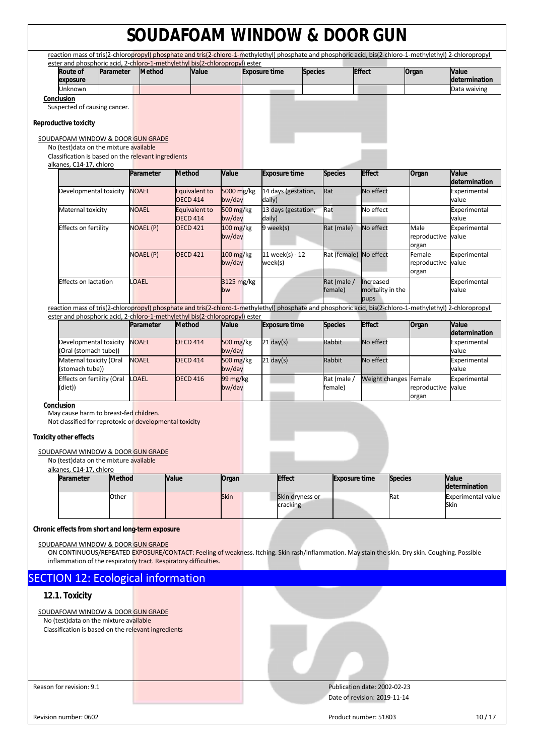| reaction mass of tris(2-chloropropyl) phosphate and tris(2-chloro-1-methylethyl) phosphate and phosphoric acid, bis(2-chloro-1-methylethyl) 2-chloropropyl                           |               |                                     |               |                       |                               |                 |                              |                          |                |                               |                                   |
|--------------------------------------------------------------------------------------------------------------------------------------------------------------------------------------|---------------|-------------------------------------|---------------|-----------------------|-------------------------------|-----------------|------------------------------|--------------------------|----------------|-------------------------------|-----------------------------------|
| ester and phosphoric acid, 2-chloro-1-methylethyl bis(2-chloropropyl) ester<br>Route of                                                                                              | Parameter     | <b>Method</b>                       | Value         |                       | <b>Exposure time</b>          | <b>Species</b>  |                              | <b>Effect</b>            |                | Organ                         | Value                             |
| exposure                                                                                                                                                                             |               |                                     |               |                       |                               |                 |                              |                          |                |                               | determination                     |
| Unknown<br>Conclusion                                                                                                                                                                |               |                                     |               |                       |                               |                 |                              |                          |                |                               | Data waiving                      |
| Suspected of causing cancer.                                                                                                                                                         |               |                                     |               |                       |                               |                 |                              |                          |                |                               |                                   |
| Reproductive toxicity                                                                                                                                                                |               |                                     |               |                       |                               |                 |                              |                          |                |                               |                                   |
| SOUDAFOAM WINDOW & DOOR GUN GRADE                                                                                                                                                    |               |                                     |               |                       |                               |                 |                              |                          |                |                               |                                   |
| No (test) data on the mixture available                                                                                                                                              |               |                                     |               |                       |                               |                 |                              |                          |                |                               |                                   |
| Classification is based on the relevant ingredients                                                                                                                                  |               |                                     |               |                       |                               |                 |                              |                          |                |                               |                                   |
| alkanes, C14-17, chloro                                                                                                                                                              |               | Parameter<br><b>Method</b>          |               | Value                 | <b>Exposure time</b>          |                 | <b>Species</b>               | <b>Effect</b>            |                | Organ                         | Value                             |
| Developmental toxicity                                                                                                                                                               |               | <b>NOAEL</b>                        | Equivalent to | 5000 mg/kg            | 14 days (gestation,           |                 | Rat                          | No effect                |                |                               | determination<br>Experimental     |
| Maternal toxicity                                                                                                                                                                    |               | <b>OECD 414</b><br><b>NOAEL</b>     | Equivalent to | bw/day<br>500 mg/kg   | daily)<br>13 days (gestation, |                 | Rat                          | No effect                |                |                               | value<br>Experimental             |
|                                                                                                                                                                                      |               | <b>OECD 414</b>                     |               | bw/day                | daily)                        |                 |                              |                          |                |                               | value                             |
| <b>Effects on fertility</b>                                                                                                                                                          |               | NOAEL (P)<br><b>OECD 421</b>        |               | $100$ mg/kg<br>bw/day | 9 week(s)                     |                 | Rat (male)                   | No effect                |                | Male<br>reproductive<br>organ | Experimental<br>value             |
|                                                                                                                                                                                      |               | <b>NOAEL (P)</b><br><b>OECD 421</b> |               | 100 mg/kg<br>bw/day   | 11 week(s) - 12<br>week(s)    |                 | Rat (female) No effect       |                          |                | Female<br>reproductive        | Experimental<br>value             |
| <b>Effects on lactation</b>                                                                                                                                                          |               | <b>OAEL</b>                         |               | 3125 mg/kg            |                               |                 | Rat (male /                  | Increased                |                | organ                         | Experimental                      |
|                                                                                                                                                                                      |               |                                     |               | bw                    |                               |                 | female)                      | mortality in the<br>pups |                |                               | value                             |
| reaction mass of tris(2-chloropropyl) phosphate and tris(2-chloro-1-methylethyl) phosphate and phosphoric acid, bis(2-chloro-1-methylethyl) 2-chloropropyl                           |               |                                     |               |                       |                               |                 |                              |                          |                |                               |                                   |
| ester and phosphoric acid, 2-chloro-1-methylethyl bis(2-chloropropyl) ester                                                                                                          |               | <b>Method</b><br>Parameter          |               | Value                 | <b>Exposure time</b>          |                 | <b>Species</b>               | <b>Effect</b>            |                | Organ                         | Value                             |
|                                                                                                                                                                                      |               |                                     |               |                       |                               |                 |                              |                          |                |                               | determination                     |
| Developmental toxicity<br>(Oral (stomach tube))                                                                                                                                      |               | <b>NOAEL</b><br><b>OECD 414</b>     |               | 500 mg/kg<br>bw/day   | $21$ day(s)                   |                 | Rabbit                       | No effect                |                |                               | Experimental<br>value             |
| Maternal toxicity (Oral<br>(stomach tube))                                                                                                                                           |               | <b>NOAEL</b><br><b>OECD 414</b>     |               | 500 mg/kg<br>bw/day   | $21$ day(s)                   |                 | Rabbit                       | No effect                |                |                               | Experimental<br>value             |
| <b>Effects on fertility (Oral</b><br>(diet))                                                                                                                                         |               | <b>LOAEL</b><br><b>OECD 416</b>     |               | 99 mg/kg<br>bw/day    |                               |                 | Rat (male /<br>female)       | Weight changes Female    |                | reproductive                  | Experimental<br>value             |
|                                                                                                                                                                                      |               |                                     |               |                       |                               |                 |                              |                          |                | organ                         |                                   |
| Conclusion<br>May cause harm to breast-fed children.                                                                                                                                 |               |                                     |               |                       |                               |                 |                              |                          |                |                               |                                   |
| Not classified for reprotoxic or developmental toxicity                                                                                                                              |               |                                     |               |                       |                               |                 |                              |                          |                |                               |                                   |
| <b>Toxicity other effects</b>                                                                                                                                                        |               |                                     |               |                       |                               |                 |                              |                          |                |                               |                                   |
| SOUDAFOAM WINDOW & DOOR GUN GRADE                                                                                                                                                    |               |                                     |               |                       |                               |                 |                              |                          |                |                               |                                   |
| No (test) data on the mixture available                                                                                                                                              |               |                                     |               |                       |                               |                 |                              |                          |                |                               |                                   |
| alkanes, C14-17, chloro                                                                                                                                                              |               |                                     |               |                       |                               |                 |                              |                          |                |                               |                                   |
| Parameter                                                                                                                                                                            | <b>Method</b> | Value                               |               | Organ                 | <b>Effect</b>                 |                 | <b>Exposure time</b>         |                          | <b>Species</b> |                               | Value<br>determination            |
|                                                                                                                                                                                      | Other         |                                     |               | <b>Skin</b>           | cracking                      | Skin dryness or |                              |                          | Rat            |                               | <b>Experimental value</b><br>Skin |
|                                                                                                                                                                                      |               |                                     |               |                       |                               |                 |                              |                          |                |                               |                                   |
| Chronic effects from short and long-term exposure                                                                                                                                    |               |                                     |               |                       |                               |                 |                              |                          |                |                               |                                   |
|                                                                                                                                                                                      |               |                                     |               |                       |                               |                 |                              |                          |                |                               |                                   |
| SOUDAFOAM WINDOW & DOOR GUN GRADE<br>ON CONTINUOUS/REPEATED EXPOSURE/CONTACT: Feeling of weakness. Itching. Skin rash/inflammation. May stain the skin. Dry skin. Coughing. Possible |               |                                     |               |                       |                               |                 |                              |                          |                |                               |                                   |
| inflammation of the respiratory tract. Respiratory difficulties.                                                                                                                     |               |                                     |               |                       |                               |                 |                              |                          |                |                               |                                   |
| <b>SECTION 12: Ecological information</b>                                                                                                                                            |               |                                     |               |                       |                               |                 |                              |                          |                |                               |                                   |
| 12.1. Toxicity                                                                                                                                                                       |               |                                     |               |                       |                               |                 |                              |                          |                |                               |                                   |
|                                                                                                                                                                                      |               |                                     |               |                       |                               |                 |                              |                          |                |                               |                                   |
| SOUDAFOAM WINDOW & DOOR GUN GRADE<br>No (test) data on the mixture available                                                                                                         |               |                                     |               |                       |                               |                 |                              |                          |                |                               |                                   |
| Classification is based on the relevant ingredients                                                                                                                                  |               |                                     |               |                       |                               |                 |                              |                          |                |                               |                                   |
|                                                                                                                                                                                      |               |                                     |               |                       |                               |                 |                              |                          |                |                               |                                   |
|                                                                                                                                                                                      |               |                                     |               |                       |                               |                 |                              |                          |                |                               |                                   |
|                                                                                                                                                                                      |               |                                     |               |                       |                               |                 |                              |                          |                |                               |                                   |
| Reason for revision: 9.1                                                                                                                                                             |               |                                     |               |                       |                               |                 | Publication date: 2002-02-23 |                          |                |                               |                                   |
|                                                                                                                                                                                      |               |                                     |               |                       |                               |                 | Date of revision: 2019-11-14 |                          |                |                               |                                   |
| Revision number: 0602                                                                                                                                                                |               |                                     |               |                       |                               |                 | Product number: 51803        |                          |                |                               | 10/17                             |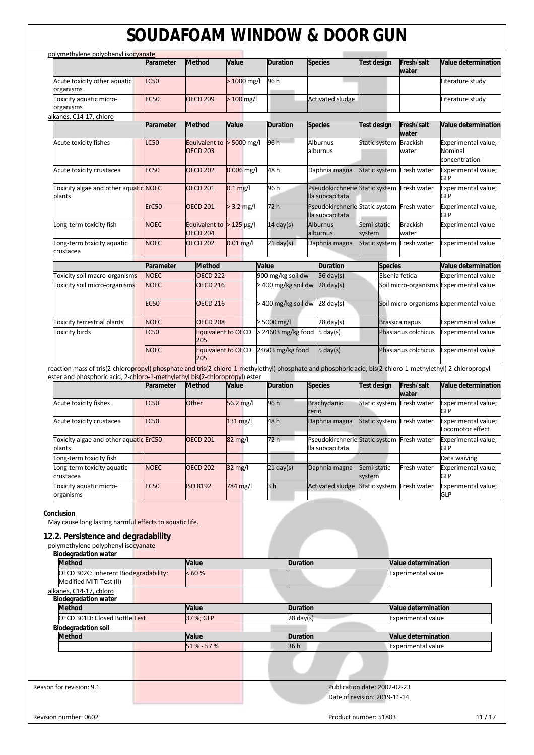| polymethylene polyphenyl isocyanate                                                                                                                        | Parameter       | <b>Method</b>                                | Value             | <b>Duration</b>     | <b>Species</b>                                                | Test design               | Fresh/salt<br>water      | Value determination                             |
|------------------------------------------------------------------------------------------------------------------------------------------------------------|-----------------|----------------------------------------------|-------------------|---------------------|---------------------------------------------------------------|---------------------------|--------------------------|-------------------------------------------------|
| Acute toxicity other aquatic                                                                                                                               | <b>LC50</b>     |                                              | $>1000$ mg/l      | 96 h                |                                                               |                           |                          | Literature study                                |
| organisms                                                                                                                                                  |                 |                                              |                   |                     |                                                               |                           |                          |                                                 |
| Toxicity aquatic micro-<br>organisms                                                                                                                       | <b>EC50</b>     | <b>OECD 209</b>                              | $>100$ mg/l       |                     | <b>Activated sludge</b>                                       |                           |                          | Literature study                                |
| alkanes, C14-17, chloro                                                                                                                                    |                 |                                              |                   |                     |                                                               |                           |                          |                                                 |
|                                                                                                                                                            | Parameter       | <b>Method</b>                                | Value             | <b>Duration</b>     | <b>Species</b>                                                | <b>Test design</b>        | Fresh/salt<br>water      | Value determination                             |
| Acute toxicity fishes                                                                                                                                      | LC50            | Equivalent to<br><b>OECD 203</b>             | $> 5000$ mg/l     | 96h                 | Alburnus<br>alburnus                                          | Static system             | <b>Brackish</b><br>water | Experimental value;<br>Nominal<br>concentration |
| Acute toxicity crustacea                                                                                                                                   | <b>EC50</b>     | <b>OECD 202</b>                              | $0.006$ mg/l      | 48h                 | Daphnia magna                                                 | Static system Fresh water |                          | Experimental value;<br>GLP                      |
| Toxicity algae and other aquatic NOEC<br>plants                                                                                                            |                 | <b>OECD 201</b>                              | $0.1$ mg/l        | 96 h                | Pseudokirchnerie Static system Fresh water<br>lla subcapitata |                           |                          | Experimental value;<br><b>GLP</b>               |
|                                                                                                                                                            | ErC50           | <b>OECD 201</b>                              | $> 3.2$ mg/l      | 72 h                | Pseudokirchnerie Static system Fresh water<br>lla subcapitata |                           |                          | Experimental value;<br>GLP                      |
| Long-term toxicity fish                                                                                                                                    | <b>NOEC</b>     | Equivalent to $>125$ µg/l<br><b>OECD 204</b> |                   | $14 \text{ day(s)}$ | <b>Alburnus</b><br>alburnus                                   | Semi-static<br>system     | <b>Brackish</b><br>water | Experimental value                              |
| Long-term toxicity aquatic<br>crustacea                                                                                                                    | <b>NOEC</b>     | <b>OECD 202</b>                              | $0.01$ mg/l       | $21 \text{ day(s)}$ | Daphnia magna                                                 | Static system Fresh water |                          | <b>Experimental value</b>                       |
|                                                                                                                                                            | Parameter       | <b>Method</b>                                |                   | Value               | <b>Duration</b>                                               | <b>Species</b>            |                          | <b>Value determination</b>                      |
| Toxicity soil macro-organisms                                                                                                                              | <b>NOEC</b>     | <b>OECD 222</b>                              |                   | 900 mg/kg soil dw   | 56 day(s)                                                     |                           | Eisenia fetida           | <b>Experimental value</b>                       |
| Toxicity soil micro-organisms                                                                                                                              | <b>NOEC</b>     | <b>OECD 216</b>                              |                   | ≥ 400 mg/kg soil dw | $28 \text{ day(s)}$                                           |                           |                          | Soil micro-organisms Experimental value         |
|                                                                                                                                                            | <b>EC50</b>     | <b>OECD 216</b>                              |                   | > 400 mg/kg soil dw | $28 \text{ day(s)}$                                           |                           |                          | Soil micro-organisms Experimental value         |
| Toxicity terrestrial plants                                                                                                                                | <b>NOEC</b>     | <b>OECD 208</b>                              |                   | ≥ 5000 mg/l         | $28 \text{ day(s)}$                                           |                           | Brassica napus           | <b>Experimental value</b>                       |
| <b>Toxicity birds</b>                                                                                                                                      | C <sub>50</sub> | <b>Equivalent to OECD</b><br>205             |                   | > 24603 mg/kg food  | $5 \text{ day}(s)$                                            |                           | Phasianus colchicus      | <b>Experimental value</b>                       |
|                                                                                                                                                            | <b>NOEC</b>     | <b>Equivalent to OECD</b><br>205             |                   | 24603 mg/kg food    | $5 \text{ day}(s)$                                            |                           | Phasianus colchicus      | <b>Experimental value</b>                       |
| reaction mass of tris(2-chloropropyl) phosphate and tris(2-chloro-1-methylethyl) phosphate and phosphoric acid, bis(2-chloro-1-methylethyl) 2-chloropropyl |                 |                                              |                   |                     |                                                               |                           |                          |                                                 |
|                                                                                                                                                            |                 |                                              |                   |                     |                                                               |                           |                          |                                                 |
| ester and phosphoric acid, 2-chloro-1-methylethyl bis(2-chloropropyl) ester                                                                                | Parameter       | <b>Method</b>                                | Value             | <b>Duration</b>     | <b>Species</b>                                                | <b>Test design</b>        | Fresh/salt               | Value determination                             |
| Acute toxicity fishes                                                                                                                                      | <b>LC50</b>     | Other                                        | 56.2 mg/l         | 96 h                | <b>Brachydanio</b><br>rerio                                   | Static system Fresh water | water                    | Experimental value;<br><b>GLP</b>               |
| Acute toxicity crustacea                                                                                                                                   | <b>LC50</b>     |                                              | 131 mg/l          | 48 h                | Daphnia magna                                                 | Static system Fresh water |                          | Experimental value;<br>Locomotor effect         |
| Toxicity algae and other aquatic ErC50<br>plants                                                                                                           |                 | <b>OECD 201</b>                              | 82 mg/l           | 72 h                | Pseudokirchnerie Static system Fresh water<br>lla subcapitata |                           |                          | Experimental value;<br>GLP                      |
| Long-term toxicity fish                                                                                                                                    |                 |                                              |                   |                     |                                                               |                           |                          | Data waiving                                    |
| Long-term toxicity aquatic<br>crustacea                                                                                                                    | <b>NOEC</b>     | <b>OECD 202</b>                              | $32 \text{ mg/l}$ | $21$ day(s)         | Daphnia magna                                                 | Semi-static<br>system     | Fresh water              | Experimental value;<br><b>GLP</b>               |

May cause long lasting harmful effects to aquatic life.

## **12.2. Persistence and degradability**

| polymethylene polyphenyl isocyanate |  |  |
|-------------------------------------|--|--|
|                                     |  |  |
|                                     |  |  |

| <b>Biodegradation water</b>                                      |             |                     |                                |
|------------------------------------------------------------------|-------------|---------------------|--------------------------------|
| <b>Method</b>                                                    | Value       | <b>Duration</b>     | Value determination            |
| OECD 302C: Inherent Biodegradability:<br>Modified MITI Test (II) | < 60 %      |                     | <b>Experimental value</b>      |
| alkanes, C14-17, chloro<br><b>Biodegradation water</b>           |             |                     |                                |
| <b>Method</b>                                                    | Value       | <b>Duration</b>     | <b>Value determination</b>     |
| <b>OECD 301D: Closed Bottle Test</b>                             | 37 %; GLP   | $28 \text{ day}(s)$ | <b>Experimental value</b>      |
| <b>Biodegradation soil</b>                                       |             |                     |                                |
| <b>Method</b>                                                    | Value       | <b>Duration</b>     | <b>Value determination</b>     |
|                                                                  | 51 % - 57 % | 36h                 | <b>Experimental value</b>      |
|                                                                  |             |                     |                                |
| Reason for revision: 9.1                                         |             |                     | Publication date: 2002-02-23   |
|                                                                  |             |                     | Date of revision: 2019-11-14   |
| Revision number: 0602                                            |             |                     | Product number: 51803<br>11/17 |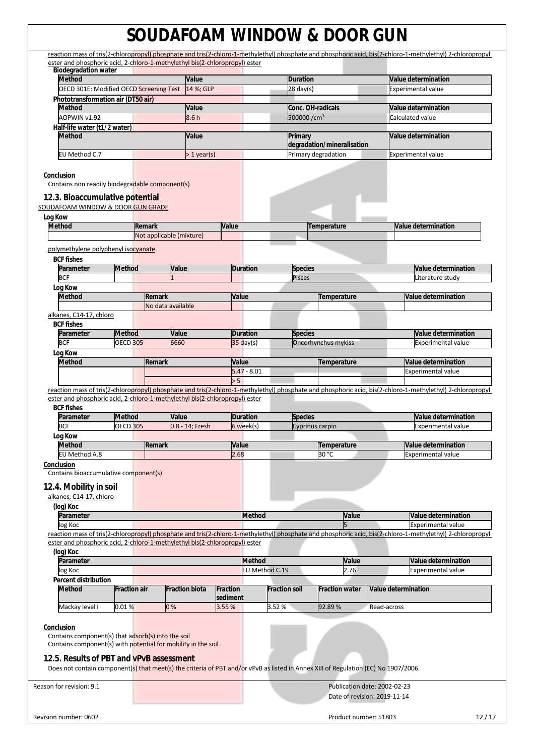|                                                                                                                                                                                 |                     |                          |                       |                 |                      |                            |                       | reaction mass of tris(2-chloropropyl) phosphate and tris(2-chloro-1-methylethyl) phosphate and phosphoric acid, bis(2-chloro-1-methylethyl) 2-chloropropyl |
|---------------------------------------------------------------------------------------------------------------------------------------------------------------------------------|---------------------|--------------------------|-----------------------|-----------------|----------------------|----------------------------|-----------------------|------------------------------------------------------------------------------------------------------------------------------------------------------------|
| ester and phosphoric acid, 2-chloro-1-methylethyl bis(2-chloropropyl) ester<br><b>Biodegradation water</b>                                                                      |                     |                          |                       |                 |                      |                            |                       |                                                                                                                                                            |
| <b>Method</b>                                                                                                                                                                   |                     |                          | Value                 |                 |                      | <b>Duration</b>            |                       | Value determination                                                                                                                                        |
| OECD 301E: Modified OECD Screening Test                                                                                                                                         |                     |                          | 14 %; GLP             |                 |                      | $28$ day(s)                |                       | Experimental value                                                                                                                                         |
| Phototransformation air (DT50 air)                                                                                                                                              |                     |                          |                       |                 |                      |                            |                       |                                                                                                                                                            |
| <b>Method</b>                                                                                                                                                                   |                     |                          | Value                 |                 |                      | Conc. OH-radicals          |                       | Value determination                                                                                                                                        |
| AOPWIN v1.92                                                                                                                                                                    |                     |                          | 8.6h                  |                 |                      | 500000/cm <sup>3</sup>     |                       | Calculated value                                                                                                                                           |
| Half-life water (t1/2 water)<br><b>Method</b>                                                                                                                                   |                     |                          | Value                 |                 |                      | Primary                    |                       | Value determination                                                                                                                                        |
|                                                                                                                                                                                 |                     |                          |                       |                 |                      | degradation/mineralisation |                       |                                                                                                                                                            |
| EU Method C.7                                                                                                                                                                   |                     |                          | > 1 year(s)           |                 |                      | Primary degradation        |                       | <b>Experimental value</b>                                                                                                                                  |
| Conclusion<br>Contains non readily biodegradable component(s)                                                                                                                   |                     |                          |                       |                 |                      |                            |                       |                                                                                                                                                            |
| 12.3. Bioaccumulative potential<br>SOUDAFOAM WINDOW & DOOR GUN GRADE                                                                                                            |                     |                          |                       |                 |                      |                            |                       |                                                                                                                                                            |
| Log Kow                                                                                                                                                                         |                     |                          |                       |                 |                      |                            |                       |                                                                                                                                                            |
| <b>Method</b>                                                                                                                                                                   |                     | Remark                   |                       | Value           |                      | Temperature                |                       | Value determination                                                                                                                                        |
|                                                                                                                                                                                 |                     | Not applicable (mixture) |                       |                 |                      |                            |                       |                                                                                                                                                            |
| polymethylene polyphenyl isocyanate                                                                                                                                             |                     |                          |                       |                 |                      |                            |                       |                                                                                                                                                            |
| <b>BCF fishes</b>                                                                                                                                                               |                     |                          |                       |                 |                      |                            |                       |                                                                                                                                                            |
| Parameter                                                                                                                                                                       | <b>Method</b>       |                          | Value                 | <b>Duration</b> |                      | Species                    |                       | Value determination                                                                                                                                        |
| <b>BCF</b>                                                                                                                                                                      |                     |                          |                       |                 |                      | <b>Pisces</b>              |                       | Literature study                                                                                                                                           |
| Log Kow                                                                                                                                                                         |                     |                          |                       |                 |                      |                            |                       |                                                                                                                                                            |
| <b>Method</b>                                                                                                                                                                   |                     | Remark                   |                       | Value           |                      |                            | Temperature           | Value determination                                                                                                                                        |
| alkanes, C14-17, chloro                                                                                                                                                         |                     | No data available        |                       |                 |                      |                            |                       |                                                                                                                                                            |
| <b>BCF fishes</b>                                                                                                                                                               |                     |                          |                       |                 |                      |                            |                       |                                                                                                                                                            |
| Parameter                                                                                                                                                                       | <b>Method</b>       |                          | Value                 | <b>Duration</b> |                      | <b>Species</b>             |                       | Value determination                                                                                                                                        |
| <b>BCF</b>                                                                                                                                                                      | <b>OECD 305</b>     |                          | 6660                  | $35$ day(s)     |                      | Oncorhynchus mykiss        |                       | <b>Experimental value</b>                                                                                                                                  |
| Log Kow                                                                                                                                                                         |                     |                          |                       |                 |                      |                            |                       |                                                                                                                                                            |
| <b>Method</b>                                                                                                                                                                   |                     | Remark                   |                       | Value           |                      |                            | Temperature           | <b>Value determination</b>                                                                                                                                 |
|                                                                                                                                                                                 |                     |                          |                       | $5.47 - 8.01$   |                      |                            |                       | <b>Experimental value</b>                                                                                                                                  |
|                                                                                                                                                                                 |                     |                          |                       | > 5             |                      |                            |                       |                                                                                                                                                            |
|                                                                                                                                                                                 |                     |                          |                       |                 |                      |                            |                       |                                                                                                                                                            |
| ester and phosphoric acid, 2-chloro-1-methylethyl bis(2-chloropropyl) ester<br><b>BCF fishes</b><br>Parameter                                                                   | <b>Method</b>       |                          | Value                 | <b>Duration</b> |                      | <b>Species</b>             |                       | Value determination                                                                                                                                        |
| <b>BCF</b>                                                                                                                                                                      | <b>OECD 305</b>     |                          | 0.8 - 14; Fresh       | 6 week(s)       |                      | Cyprinus carpio            |                       | <b>Experimental value</b>                                                                                                                                  |
| Log Kow                                                                                                                                                                         |                     |                          |                       |                 |                      |                            |                       |                                                                                                                                                            |
| <b>Method</b>                                                                                                                                                                   |                     | Remark                   |                       | Value           |                      |                            | Temperature           | Value determination                                                                                                                                        |
| EU Method A.8                                                                                                                                                                   |                     |                          |                       | 2.68            |                      | 30 °C                      |                       | <b>Experimental value</b>                                                                                                                                  |
| Conclusion<br>Contains bioaccumulative component(s)                                                                                                                             |                     |                          |                       |                 |                      |                            |                       |                                                                                                                                                            |
| 12.4. Mobility in soil<br>alkanes, C14-17, chloro                                                                                                                               |                     |                          |                       |                 |                      |                            |                       |                                                                                                                                                            |
| (log) Koc                                                                                                                                                                       |                     |                          |                       |                 |                      |                            |                       |                                                                                                                                                            |
| Parameter                                                                                                                                                                       |                     |                          |                       |                 | <b>Method</b>        |                            | Value                 | Value determination                                                                                                                                        |
| log Koc                                                                                                                                                                         |                     |                          |                       |                 |                      |                            |                       | <b>Experimental value</b>                                                                                                                                  |
| ester and phosphoric acid, 2-chloro-1-methylethyl bis(2-chloropropyl) ester<br>(log) Koc                                                                                        |                     |                          |                       |                 |                      |                            |                       |                                                                                                                                                            |
| Parameter                                                                                                                                                                       |                     |                          |                       |                 | <b>Method</b>        |                            | Value                 | Value determination                                                                                                                                        |
| log Koc                                                                                                                                                                         |                     |                          |                       |                 | EU Method C.19       |                            | 2.76                  | <b>Experimental value</b>                                                                                                                                  |
| <b>Percent distribution</b>                                                                                                                                                     |                     |                          |                       |                 |                      |                            |                       |                                                                                                                                                            |
| <b>Method</b>                                                                                                                                                                   | <b>Fraction air</b> |                          | <b>Fraction biota</b> | <b>Fraction</b> | <b>Fraction soil</b> |                            | <b>Fraction water</b> | Value determination                                                                                                                                        |
|                                                                                                                                                                                 |                     |                          |                       | sediment        |                      |                            |                       |                                                                                                                                                            |
| Mackay level I                                                                                                                                                                  | $0.01\,\%$          | 0%                       |                       | 3.55 %          | 3.52%                | 92.89%                     |                       | Read-across                                                                                                                                                |
| Conclusion<br>Contains component(s) that adsorb(s) into the soil<br>Contains component(s) with potential for mobility in the soil                                               |                     |                          |                       |                 |                      |                            |                       |                                                                                                                                                            |
| 12.5. Results of PBT and vPvB assessment<br>Does not contain component(s) that meet(s) the criteria of PBT and/or vPvB as listed in Annex XIII of Regulation (EC) No 1907/2006. |                     |                          |                       |                 |                      |                            |                       |                                                                                                                                                            |
|                                                                                                                                                                                 |                     |                          |                       |                 |                      |                            |                       |                                                                                                                                                            |
| Reason for revision: 9.1                                                                                                                                                        |                     |                          |                       |                 |                      |                            |                       | Publication date: 2002-02-23<br>Date of revision: 2019-11-14                                                                                               |
|                                                                                                                                                                                 |                     |                          |                       |                 |                      |                            |                       | reaction mass of tris(2-chloropropyl) phosphate and tris(2-chloro-1-methylethyl) phosphate and phosphoric acid, bis(2-chloro-1-methylethyl) 2-chloropropyl |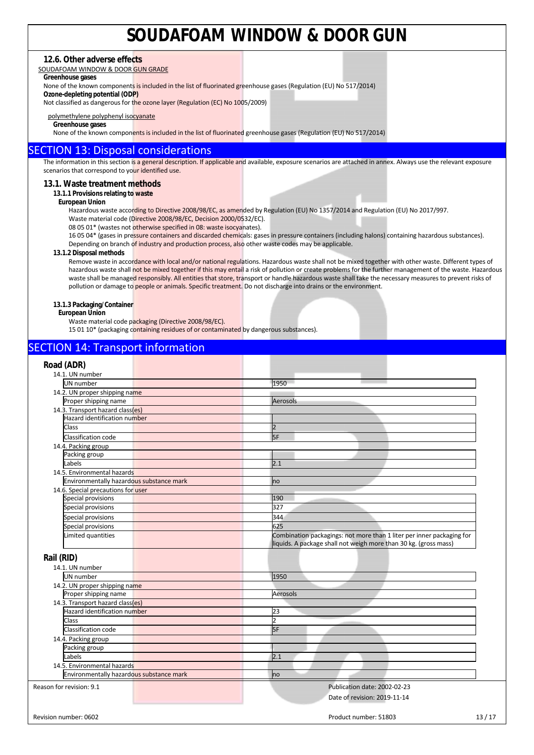## **12.6. Other adverse effects**

SOUDAFOAM WINDOW & DOOR GUN GRADE

## **Greenhouse gases**

None of the known components is included in the list of fluorinated greenhouse gases (Regulation (EU) No 517/2014)

**Ozone-depleting potential (ODP)** 

Not classified as dangerous for the ozone layer (Regulation (EC) No 1005/2009)

#### polymethylene polyphenyl isocyanate

**Greenhouse gases** 

None of the known components is included in the list of fluorinated greenhouse gases (Regulation (EU) No 517/2014)

## SECTION 13: Disposal considerations

The information in this section is a general description. If applicable and available, exposure scenarios are attached in annex. Always use the relevant exposure scenarios that correspond to your identified use.

### **13.1. Waste treatment methods**

### **13.1.1 Provisions relating to waste**

#### **European Union**

Hazardous waste according to Directive 2008/98/EC, as amended by Regulation (EU) No 1357/2014 and Regulation (EU) No 2017/997.

Waste material code (Directive 2008/98/EC, Decision 2000/0532/EC).

08 05 01\* (wastes not otherwise specified in 08: waste isocyanates).

16 05 04\* (gases in pressure containers and discarded chemicals: gases in pressure containers (including halons) containing hazardous substances). Depending on branch of industry and production process, also other waste codes may be applicable.

#### **13.1.2 Disposal methods**

Remove waste in accordance with local and/or national regulations. Hazardous waste shall not be mixed together with other waste. Different types of hazardous waste shall not be mixed together if this may entail a risk of pollution or create problems for the further management of the waste. Hazardous waste shall be managed responsibly. All entities that store, transport or handle hazardous waste shall take the necessary measures to prevent risks of pollution or damage to people or animals. Specific treatment. Do not discharge into drains or the environment.

#### **13.1.3 Packaging/Container**

#### **European Union**

Waste material code packaging (Directive 2008/98/EC).

15 01 10\* (packaging containing residues of or contaminated by dangerous substances).

## SECTION 14: Transport information

| Road (ADR)                               |                                                                       |       |
|------------------------------------------|-----------------------------------------------------------------------|-------|
| 14.1. UN number                          |                                                                       |       |
| <b>UN</b> number                         | 1950                                                                  |       |
| 14.2. UN proper shipping name            |                                                                       |       |
| Proper shipping name                     | Aerosols                                                              |       |
| 14.3. Transport hazard class(es)         |                                                                       |       |
| Hazard identification number             |                                                                       |       |
| Class                                    | $\overline{\phantom{a}}$                                              |       |
| <b>Classification code</b>               | <b>SF</b>                                                             |       |
| 14.4. Packing group                      |                                                                       |       |
| Packing group                            |                                                                       |       |
| Labels                                   | 2.1                                                                   |       |
| 14.5. Environmental hazards              |                                                                       |       |
| Environmentally hazardous substance mark | no                                                                    |       |
| 14.6. Special precautions for user       |                                                                       |       |
| Special provisions                       | 190                                                                   |       |
| Special provisions                       | 327                                                                   |       |
| Special provisions                       | 344                                                                   |       |
| Special provisions                       | 625                                                                   |       |
| Limited quantities                       | Combination packagings: not more than 1 liter per inner packaging for |       |
|                                          | liquids. A package shall not weigh more than 30 kg. (gross mass)      |       |
|                                          |                                                                       |       |
| Rail (RID)                               |                                                                       |       |
| 14.1. UN number                          |                                                                       |       |
| UN number                                | 1950                                                                  |       |
| 14.2. UN proper shipping name            |                                                                       |       |
| Proper shipping name                     | Aerosols                                                              |       |
| 14.3. Transport hazard class(es)         |                                                                       |       |
| Hazard identification number             | 23                                                                    |       |
| Class                                    | $\overline{2}$                                                        |       |
| Classification code                      | 5F                                                                    |       |
| 14.4. Packing group                      |                                                                       |       |
| Packing group                            |                                                                       |       |
| Labels                                   | 2.1                                                                   |       |
| 14.5. Environmental hazards              |                                                                       |       |
| Environmentally hazardous substance mark | no                                                                    |       |
|                                          |                                                                       |       |
| Reason for revision: 9.1                 | Publication date: 2002-02-23                                          |       |
|                                          | Date of revision: 2019-11-14                                          |       |
|                                          |                                                                       |       |
| Revision number: 0602                    | Product number: 51803                                                 | 13/17 |
|                                          |                                                                       |       |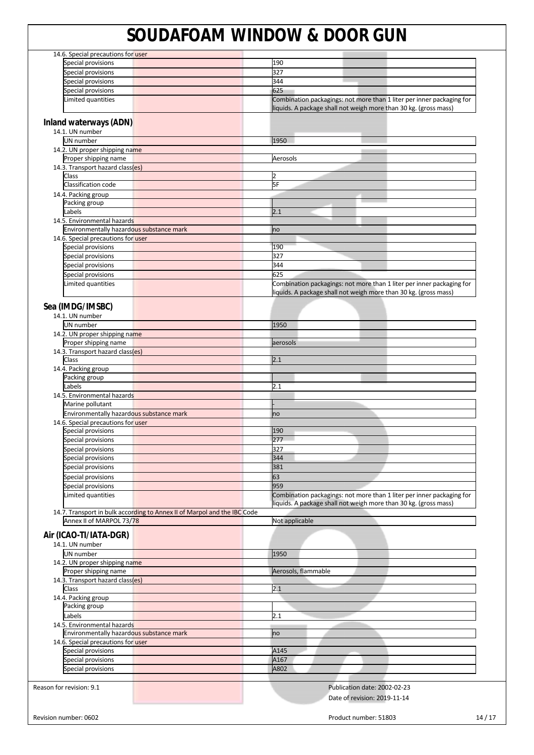| 14.6. Special precautions for user                                       |                                                                       |
|--------------------------------------------------------------------------|-----------------------------------------------------------------------|
| Special provisions                                                       | 190                                                                   |
| Special provisions                                                       | 327                                                                   |
| Special provisions                                                       | 344                                                                   |
| Special provisions                                                       | 625                                                                   |
| Limited quantities                                                       | Combination packagings: not more than 1 liter per inner packaging for |
|                                                                          | liquids. A package shall not weigh more than 30 kg. (gross mass)      |
| Inland waterways (ADN)                                                   |                                                                       |
| 14.1. UN number                                                          |                                                                       |
| UN number                                                                | 1950                                                                  |
| 14.2. UN proper shipping name                                            |                                                                       |
| Proper shipping name                                                     | Aerosols                                                              |
| 14.3. Transport hazard class(es)                                         |                                                                       |
| Class                                                                    | $\overline{2}$                                                        |
| Classification code                                                      | 5F                                                                    |
| 14.4. Packing group                                                      |                                                                       |
| Packing group                                                            |                                                                       |
| Labels                                                                   | 2.1                                                                   |
| 14.5. Environmental hazards                                              |                                                                       |
| Environmentally hazardous substance mark                                 | no                                                                    |
| 14.6. Special precautions for user                                       |                                                                       |
| Special provisions                                                       | 190                                                                   |
| Special provisions                                                       | 327                                                                   |
| Special provisions                                                       | 344                                                                   |
| Special provisions                                                       | 625                                                                   |
| Limited quantities                                                       | Combination packagings: not more than 1 liter per inner packaging for |
|                                                                          | liquids. A package shall not weigh more than 30 kg. (gross mass)      |
|                                                                          |                                                                       |
| Sea (IMDG/IMSBC)                                                         |                                                                       |
| 14.1. UN number                                                          |                                                                       |
| UN number                                                                | 1950                                                                  |
| 14.2. UN proper shipping name                                            |                                                                       |
| Proper shipping name                                                     | aerosols                                                              |
| 14.3. Transport hazard class(es)                                         |                                                                       |
| Class                                                                    | 2.1                                                                   |
| 14.4. Packing group                                                      |                                                                       |
| Packing group                                                            |                                                                       |
| Labels                                                                   | 2.1                                                                   |
| 14.5. Environmental hazards                                              |                                                                       |
| Marine pollutant                                                         |                                                                       |
| Environmentally hazardous substance mark                                 | no                                                                    |
| 14.6. Special precautions for user                                       |                                                                       |
| Special provisions                                                       | 190                                                                   |
| Special provisions                                                       | 277                                                                   |
| Special provisions                                                       | 327                                                                   |
| Special provisions                                                       | 344                                                                   |
| Special provisions                                                       | 381                                                                   |
|                                                                          | 63                                                                    |
| Special provisions                                                       | 959                                                                   |
| Special provisions                                                       |                                                                       |
| Limited quantities                                                       | Combination packagings: not more than 1 liter per inner packaging for |
| 14.7. Transport in bulk according to Annex II of Marpol and the IBC Code | liquids. A package shall not weigh more than 30 kg. (gross mass)      |
| Annex II of MARPOL 73/78                                                 | Not applicable                                                        |
|                                                                          |                                                                       |
| Air (ICAO-TI/IATA-DGR)                                                   |                                                                       |
| 14.1. UN number                                                          |                                                                       |
| UN number                                                                | 1950                                                                  |
| 14.2. UN proper shipping name                                            |                                                                       |
| Proper shipping name                                                     | Aerosols, flammable                                                   |
| 14.3. Transport hazard class(es)                                         |                                                                       |
| Class                                                                    | 2.1                                                                   |
| 14.4. Packing group                                                      |                                                                       |
| Packing group                                                            |                                                                       |
| Labels                                                                   | 2.1                                                                   |
| 14.5. Environmental hazards                                              |                                                                       |
| Environmentally hazardous substance mark                                 | no                                                                    |
| 14.6. Special precautions for user                                       |                                                                       |
| Special provisions                                                       | A145                                                                  |
| Special provisions                                                       | A167                                                                  |
| Special provisions                                                       | A802                                                                  |
|                                                                          |                                                                       |
| Reason for revision: 9.1                                                 | Publication date: 2002-02-23                                          |
|                                                                          |                                                                       |
|                                                                          | Date of revision: 2019-11-14                                          |
|                                                                          |                                                                       |
| Revision number: 0602                                                    | 14/17<br>Product number: 51803                                        |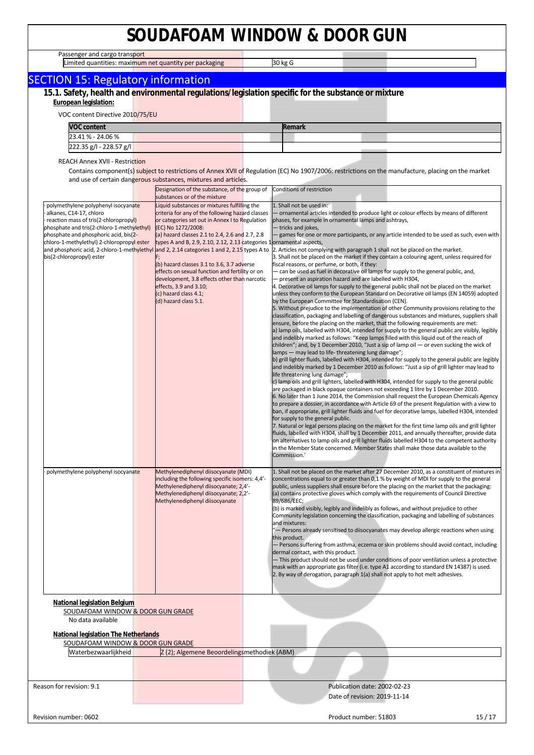Passenger and cargo transport

Limited quantities: maximum net quantity per packaging **1998 and 1998** 30 kg G

┑

| <b>ETTIRCa guarreless maximum net guarrely per packaging</b><br><b>SECTION 15: Regulatory information</b>                                                                                      |                                                                                                                                                                                                                             | ט קיו טכ                                                                                                                                                                                                                                                                                                                                                                                                                                                                                                                                                                                                                                                                                                                                                                                                                                                                                                                                                                                                                                                                                                                                                                                                                                                                                                                                                                                                                                                                                                                                                                                                                                                                                                                                                                                                                                                                                                                                                                                                                                                                                                                                                                                                                  |
|------------------------------------------------------------------------------------------------------------------------------------------------------------------------------------------------|-----------------------------------------------------------------------------------------------------------------------------------------------------------------------------------------------------------------------------|---------------------------------------------------------------------------------------------------------------------------------------------------------------------------------------------------------------------------------------------------------------------------------------------------------------------------------------------------------------------------------------------------------------------------------------------------------------------------------------------------------------------------------------------------------------------------------------------------------------------------------------------------------------------------------------------------------------------------------------------------------------------------------------------------------------------------------------------------------------------------------------------------------------------------------------------------------------------------------------------------------------------------------------------------------------------------------------------------------------------------------------------------------------------------------------------------------------------------------------------------------------------------------------------------------------------------------------------------------------------------------------------------------------------------------------------------------------------------------------------------------------------------------------------------------------------------------------------------------------------------------------------------------------------------------------------------------------------------------------------------------------------------------------------------------------------------------------------------------------------------------------------------------------------------------------------------------------------------------------------------------------------------------------------------------------------------------------------------------------------------------------------------------------------------------------------------------------------------|
|                                                                                                                                                                                                |                                                                                                                                                                                                                             | 15.1. Safety, health and environmental regulations/legislation specific for the substance or mixture                                                                                                                                                                                                                                                                                                                                                                                                                                                                                                                                                                                                                                                                                                                                                                                                                                                                                                                                                                                                                                                                                                                                                                                                                                                                                                                                                                                                                                                                                                                                                                                                                                                                                                                                                                                                                                                                                                                                                                                                                                                                                                                      |
| European legislation:                                                                                                                                                                          |                                                                                                                                                                                                                             |                                                                                                                                                                                                                                                                                                                                                                                                                                                                                                                                                                                                                                                                                                                                                                                                                                                                                                                                                                                                                                                                                                                                                                                                                                                                                                                                                                                                                                                                                                                                                                                                                                                                                                                                                                                                                                                                                                                                                                                                                                                                                                                                                                                                                           |
| VOC content Directive 2010/75/EU                                                                                                                                                               |                                                                                                                                                                                                                             |                                                                                                                                                                                                                                                                                                                                                                                                                                                                                                                                                                                                                                                                                                                                                                                                                                                                                                                                                                                                                                                                                                                                                                                                                                                                                                                                                                                                                                                                                                                                                                                                                                                                                                                                                                                                                                                                                                                                                                                                                                                                                                                                                                                                                           |
| <b>VOC content</b>                                                                                                                                                                             |                                                                                                                                                                                                                             | Remark                                                                                                                                                                                                                                                                                                                                                                                                                                                                                                                                                                                                                                                                                                                                                                                                                                                                                                                                                                                                                                                                                                                                                                                                                                                                                                                                                                                                                                                                                                                                                                                                                                                                                                                                                                                                                                                                                                                                                                                                                                                                                                                                                                                                                    |
| 23.41 % - 24.06 %                                                                                                                                                                              |                                                                                                                                                                                                                             |                                                                                                                                                                                                                                                                                                                                                                                                                                                                                                                                                                                                                                                                                                                                                                                                                                                                                                                                                                                                                                                                                                                                                                                                                                                                                                                                                                                                                                                                                                                                                                                                                                                                                                                                                                                                                                                                                                                                                                                                                                                                                                                                                                                                                           |
| 222.35 g/l - 228.57 g/l                                                                                                                                                                        |                                                                                                                                                                                                                             |                                                                                                                                                                                                                                                                                                                                                                                                                                                                                                                                                                                                                                                                                                                                                                                                                                                                                                                                                                                                                                                                                                                                                                                                                                                                                                                                                                                                                                                                                                                                                                                                                                                                                                                                                                                                                                                                                                                                                                                                                                                                                                                                                                                                                           |
| <b>REACH Annex XVII - Restriction</b>                                                                                                                                                          |                                                                                                                                                                                                                             |                                                                                                                                                                                                                                                                                                                                                                                                                                                                                                                                                                                                                                                                                                                                                                                                                                                                                                                                                                                                                                                                                                                                                                                                                                                                                                                                                                                                                                                                                                                                                                                                                                                                                                                                                                                                                                                                                                                                                                                                                                                                                                                                                                                                                           |
|                                                                                                                                                                                                |                                                                                                                                                                                                                             | Contains component(s) subject to restrictions of Annex XVII of Regulation (EC) No 1907/2006: restrictions on the manufacture, placing on the market                                                                                                                                                                                                                                                                                                                                                                                                                                                                                                                                                                                                                                                                                                                                                                                                                                                                                                                                                                                                                                                                                                                                                                                                                                                                                                                                                                                                                                                                                                                                                                                                                                                                                                                                                                                                                                                                                                                                                                                                                                                                       |
|                                                                                                                                                                                                | and use of certain dangerous substances, mixtures and articles.<br>Designation of the substance, of the group of                                                                                                            | Conditions of restriction                                                                                                                                                                                                                                                                                                                                                                                                                                                                                                                                                                                                                                                                                                                                                                                                                                                                                                                                                                                                                                                                                                                                                                                                                                                                                                                                                                                                                                                                                                                                                                                                                                                                                                                                                                                                                                                                                                                                                                                                                                                                                                                                                                                                 |
|                                                                                                                                                                                                | substances or of the mixture                                                                                                                                                                                                |                                                                                                                                                                                                                                                                                                                                                                                                                                                                                                                                                                                                                                                                                                                                                                                                                                                                                                                                                                                                                                                                                                                                                                                                                                                                                                                                                                                                                                                                                                                                                                                                                                                                                                                                                                                                                                                                                                                                                                                                                                                                                                                                                                                                                           |
| polymethylene polyphenyl isocyanate<br>alkanes, C14-17, chloro<br>reaction mass of tris(2-chloropropyl)<br>phosphate and tris(2-chloro-1-methylethyl)<br>phosphate and phosphoric acid, bis(2- | Liquid substances or mixtures fulfilling the<br>criteria for any of the following hazard classes<br>or categories set out in Annex I to Regulation<br>(EC) No 1272/2008:<br>(a) hazard classes 2.1 to 2.4, 2.6 and 2.7, 2.8 | 1. Shall not be used in:<br>- ornamental articles intended to produce light or colour effects by means of different<br>phases, for example in ornamental lamps and ashtrays,<br>- tricks and jokes,<br>- games for one or more participants, or any article intended to be used as such, even with                                                                                                                                                                                                                                                                                                                                                                                                                                                                                                                                                                                                                                                                                                                                                                                                                                                                                                                                                                                                                                                                                                                                                                                                                                                                                                                                                                                                                                                                                                                                                                                                                                                                                                                                                                                                                                                                                                                        |
| chloro-1-methylethyl) 2-chloropropyl ester<br>bis(2-chloropropyl) ester                                                                                                                        | types A and B, 2.9, 2.10, 2.12, 2.13 categories 1 ornamental aspects,<br>and phosphoric acid, 2-chloro-1-methylethyl and 2, 2.14 categories 1 and 2, 2.15 types A to<br>(b) hazard classes 3.1 to 3.6, 3.7 adverse          | 2. Articles not complying with paragraph 1 shall not be placed on the market.<br>3. Shall not be placed on the market if they contain a colouring agent, unless required for<br>fiscal reasons, or perfume, or both, if they:                                                                                                                                                                                                                                                                                                                                                                                                                                                                                                                                                                                                                                                                                                                                                                                                                                                                                                                                                                                                                                                                                                                                                                                                                                                                                                                                                                                                                                                                                                                                                                                                                                                                                                                                                                                                                                                                                                                                                                                             |
|                                                                                                                                                                                                | effects on sexual function and fertility or on<br>development, 3.8 effects other than narcotic<br>effects, 3.9 and 3.10;<br>(c) hazard class 4.1;<br>(d) hazard class 5.1.                                                  | - can be used as fuel in decorative oil lamps for supply to the general public, and,<br>- present an aspiration hazard and are labelled with H304,<br>4. Decorative oil lamps for supply to the general public shall not be placed on the market<br>unless they conform to the European Standard on Decorative oil lamps (EN 14059) adopted<br>by the European Committee for Standardisation (CEN).<br>5. Without prejudice to the implementation of other Community provisions relating to the<br>classification, packaging and labelling of dangerous substances and mixtures, suppliers shall<br>ensure, before the placing on the market, that the following requirements are met:<br>a) lamp oils, labelled with H304, intended for supply to the general public are visibly, legibly<br>and indelibly marked as follows: "Keep lamps filled with this liquid out of the reach of<br>children"; and, by 1 December 2010, "Just a sip of lamp oil — or even sucking the wick of<br>lamps - may lead to life-threatening lung damage";<br>b) grill lighter fluids, labelled with H304, intended for supply to the general public are legibly<br>and indelibly marked by 1 December 2010 as follows: "Just a sip of grill lighter may lead to<br>life threatening lung damage";<br>c) lamp oils and grill lighters, labelled with H304, intended for supply to the general public<br>are packaged in black opaque containers not exceeding 1 litre by 1 December 2010.<br>6. No later than 1 June 2014, the Commission shall request the European Chemicals Agency<br>to prepare a dossier, in accordance with Article 69 of the present Regulation with a view to<br>ban, if appropriate, grill lighter fluids and fuel for decorative lamps, labelled H304, intended<br>for supply to the general public.<br>7. Natural or legal persons placing on the market for the first time lamp oils and grill lighter<br>fluids, labelled with H304, shall by 1 December 2011, and annually thereafter, provide data<br>on alternatives to lamp oils and grill lighter fluids labelled H304 to the competent authority<br>in the Member State concerned. Member States shall make those data available to the<br>Commission.' |
| polymethylene polyphenyl isocyanate                                                                                                                                                            | Methylenediphenyl diisocyanate (MDI)<br>including the following specific isomers: 4,4'-<br>Methylenediphenyl diisocyanate; 2,4'-<br>Methylenediphenyl diisocyanate; 2,2'-<br>Methylenediphenyl diisocyanate                 | 1. Shall not be placed on the market after 27 December 2010, as a constituent of mixtures in<br>concentrations equal to or greater than 0,1 % by weight of MDI for supply to the general<br>public, unless suppliers shall ensure before the placing on the market that the packaging:<br>(a) contains protective gloves which comply with the requirements of Council Directive<br>89/686/EEC;<br>(b) is marked visibly, legibly and indelibly as follows, and without prejudice to other<br>Community legislation concerning the classification, packaging and labelling of substances<br>and mixtures:<br>- Persons already sensitised to diisocyanates may develop allergic reactions when using<br>this product.<br>- Persons suffering from asthma, eczema or skin problems should avoid contact, including<br>dermal contact, with this product.<br>- This product should not be used under conditions of poor ventilation unless a protective<br>mask with an appropriate gas filter (i.e. type A1 according to standard EN 14387) is used.<br>2. By way of derogation, paragraph 1(a) shall not apply to hot melt adhesives.                                                                                                                                                                                                                                                                                                                                                                                                                                                                                                                                                                                                                                                                                                                                                                                                                                                                                                                                                                                                                                                                                     |
| National legislation Belgium                                                                                                                                                                   |                                                                                                                                                                                                                             |                                                                                                                                                                                                                                                                                                                                                                                                                                                                                                                                                                                                                                                                                                                                                                                                                                                                                                                                                                                                                                                                                                                                                                                                                                                                                                                                                                                                                                                                                                                                                                                                                                                                                                                                                                                                                                                                                                                                                                                                                                                                                                                                                                                                                           |
| SOUDAFOAM WINDOW & DOOR GUN GRADE<br>No data available                                                                                                                                         |                                                                                                                                                                                                                             |                                                                                                                                                                                                                                                                                                                                                                                                                                                                                                                                                                                                                                                                                                                                                                                                                                                                                                                                                                                                                                                                                                                                                                                                                                                                                                                                                                                                                                                                                                                                                                                                                                                                                                                                                                                                                                                                                                                                                                                                                                                                                                                                                                                                                           |
|                                                                                                                                                                                                |                                                                                                                                                                                                                             |                                                                                                                                                                                                                                                                                                                                                                                                                                                                                                                                                                                                                                                                                                                                                                                                                                                                                                                                                                                                                                                                                                                                                                                                                                                                                                                                                                                                                                                                                                                                                                                                                                                                                                                                                                                                                                                                                                                                                                                                                                                                                                                                                                                                                           |
| <b>National legislation The Netherlands</b>                                                                                                                                                    |                                                                                                                                                                                                                             |                                                                                                                                                                                                                                                                                                                                                                                                                                                                                                                                                                                                                                                                                                                                                                                                                                                                                                                                                                                                                                                                                                                                                                                                                                                                                                                                                                                                                                                                                                                                                                                                                                                                                                                                                                                                                                                                                                                                                                                                                                                                                                                                                                                                                           |
| SOUDAFOAM WINDOW & DOOR GUN GRADE<br>Waterbezwaarlijkheid                                                                                                                                      | Z(2); Algemene Beoordelingsmethodiek (ABM)                                                                                                                                                                                  |                                                                                                                                                                                                                                                                                                                                                                                                                                                                                                                                                                                                                                                                                                                                                                                                                                                                                                                                                                                                                                                                                                                                                                                                                                                                                                                                                                                                                                                                                                                                                                                                                                                                                                                                                                                                                                                                                                                                                                                                                                                                                                                                                                                                                           |
|                                                                                                                                                                                                |                                                                                                                                                                                                                             |                                                                                                                                                                                                                                                                                                                                                                                                                                                                                                                                                                                                                                                                                                                                                                                                                                                                                                                                                                                                                                                                                                                                                                                                                                                                                                                                                                                                                                                                                                                                                                                                                                                                                                                                                                                                                                                                                                                                                                                                                                                                                                                                                                                                                           |
|                                                                                                                                                                                                |                                                                                                                                                                                                                             |                                                                                                                                                                                                                                                                                                                                                                                                                                                                                                                                                                                                                                                                                                                                                                                                                                                                                                                                                                                                                                                                                                                                                                                                                                                                                                                                                                                                                                                                                                                                                                                                                                                                                                                                                                                                                                                                                                                                                                                                                                                                                                                                                                                                                           |
| Reason for revision: 9.1                                                                                                                                                                       |                                                                                                                                                                                                                             | Publication date: 2002-02-23                                                                                                                                                                                                                                                                                                                                                                                                                                                                                                                                                                                                                                                                                                                                                                                                                                                                                                                                                                                                                                                                                                                                                                                                                                                                                                                                                                                                                                                                                                                                                                                                                                                                                                                                                                                                                                                                                                                                                                                                                                                                                                                                                                                              |
|                                                                                                                                                                                                |                                                                                                                                                                                                                             | Date of revision: 2019-11-14                                                                                                                                                                                                                                                                                                                                                                                                                                                                                                                                                                                                                                                                                                                                                                                                                                                                                                                                                                                                                                                                                                                                                                                                                                                                                                                                                                                                                                                                                                                                                                                                                                                                                                                                                                                                                                                                                                                                                                                                                                                                                                                                                                                              |
|                                                                                                                                                                                                |                                                                                                                                                                                                                             |                                                                                                                                                                                                                                                                                                                                                                                                                                                                                                                                                                                                                                                                                                                                                                                                                                                                                                                                                                                                                                                                                                                                                                                                                                                                                                                                                                                                                                                                                                                                                                                                                                                                                                                                                                                                                                                                                                                                                                                                                                                                                                                                                                                                                           |
| Revision number: 0602                                                                                                                                                                          |                                                                                                                                                                                                                             | Product number: 51803<br>15/17                                                                                                                                                                                                                                                                                                                                                                                                                                                                                                                                                                                                                                                                                                                                                                                                                                                                                                                                                                                                                                                                                                                                                                                                                                                                                                                                                                                                                                                                                                                                                                                                                                                                                                                                                                                                                                                                                                                                                                                                                                                                                                                                                                                            |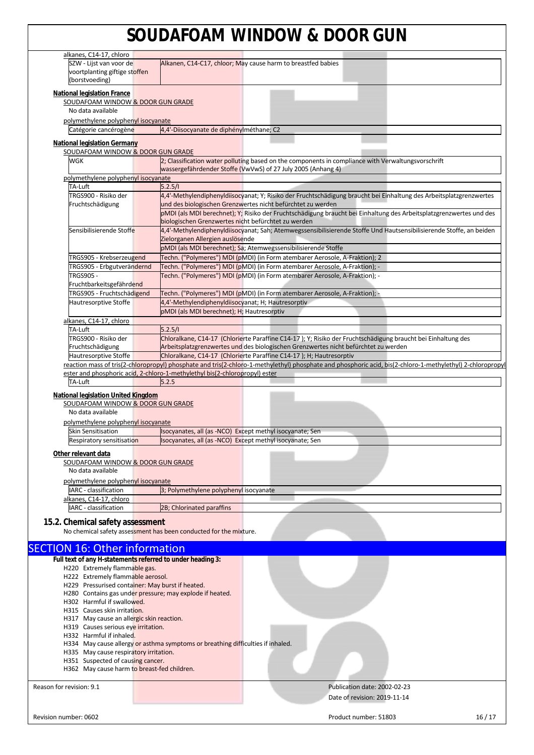| alkanes, C14-17, chloro                                    |                                                                                                                                                            |
|------------------------------------------------------------|------------------------------------------------------------------------------------------------------------------------------------------------------------|
| SZW - Lijst van voor de                                    | Alkanen, C14-C17, chloor; May cause harm to breastfed babies                                                                                               |
| voortplanting giftige stoffen                              |                                                                                                                                                            |
| (borstvoeding)                                             |                                                                                                                                                            |
| <b>National legislation France</b>                         |                                                                                                                                                            |
| SOUDAFOAM WINDOW & DOOR GUN GRADE                          |                                                                                                                                                            |
| No data available                                          |                                                                                                                                                            |
| polymethylene polyphenyl isocyanate                        |                                                                                                                                                            |
| Catégorie cancérogène                                      | 4,4'-Diisocyanate de diphénylméthane; C2                                                                                                                   |
| <b>National legislation Germany</b>                        |                                                                                                                                                            |
| SOUDAFOAM WINDOW & DOOR GUN GRADE                          |                                                                                                                                                            |
| WGK                                                        | 2; Classification water polluting based on the components in compliance with Verwaltungsvorschrift                                                         |
|                                                            | wassergefährdender Stoffe (VwVwS) of 27 July 2005 (Anhang 4)                                                                                               |
| polymethylene polyphenyl isocyanate<br>TA-Luft             | 5.2.5/1                                                                                                                                                    |
| TRGS900 - Risiko der                                       | 4,4'-Methylendiphenyldiisocyanat; Y; Risiko der Fruchtschädigung braucht bei Einhaltung des Arbeitsplatzgrenzwertes                                        |
| Fruchtschädigung                                           | und des biologischen Grenzwertes nicht befürchtet zu werden                                                                                                |
|                                                            | pMDI (als MDI berechnet); Y; Risiko der Fruchtschädigung braucht bei Einhaltung des Arbeitsplatzgrenzwertes und des                                        |
|                                                            | biologischen Grenzwertes nicht befürchtet zu werden                                                                                                        |
| Sensibilisierende Stoffe                                   | 4,4'-Methylendiphenyldiisocyanat; Sah; Atemwegssensibilisierende Stoffe Und Hautsensibilisierende Stoffe, an beiden                                        |
|                                                            | Zielorganen Allergien auslösende                                                                                                                           |
|                                                            | pMDI (als MDI berechnet); Sa; Atemwegssensibilisierende Stoffe                                                                                             |
| TRGS905 - Krebserzeugend                                   | Techn. ("Polymeres") MDI (pMDI) (in Form atembarer Aerosole, A-Fraktion); 2                                                                                |
| TRGS905 - Erbgutverändernd                                 | Techn. ("Polymeres") MDI (pMDI) (in Form atembarer Aerosole, A-Fraktion); -                                                                                |
| <b>TRGS905 -</b>                                           | Techn. ("Polymeres") MDI (pMDI) (in Form atembarer Aerosole, A-Fraktion); -                                                                                |
| Fruchtbarkeitsgefährdend                                   |                                                                                                                                                            |
| TRGS905 - Fruchtschädigend                                 | Techn. ("Polymeres") MDI (pMDI) (in Form atembarer Aerosole, A-Fraktion); -<br>4,4'-Methylendiphenyldiisocyanat; H; Hautresorptiv                          |
| Hautresorptive Stoffe                                      | pMDI (als MDI berechnet); H; Hautresorptiv                                                                                                                 |
| alkanes, C14-17, chloro                                    |                                                                                                                                                            |
| TA-Luft                                                    | 5.2.5/1                                                                                                                                                    |
| TRGS900 - Risiko der                                       | Chloralkane, C14-17 (Chlorierte Paraffine C14-17); Y; Risiko der Fruchtschädigung braucht bei Einhaltung des                                               |
| Fruchtschädigung                                           | Arbeitsplatzgrenzwertes und des biologischen Grenzwertes nicht befürchtet zu werden                                                                        |
| Hautresorptive Stoffe                                      | Chloralkane, C14-17 (Chlorierte Paraffine C14-17); H; Hautresorptiv                                                                                        |
|                                                            | reaction mass of tris(2-chloropropyl) phosphate and tris(2-chloro-1-methylethyl) phosphate and phosphoric acid, bis(2-chloro-1-methylethyl) 2-chloropropyl |
|                                                            | ester and phosphoric acid, 2-chloro-1-methylethyl bis(2-chloropropyl) ester                                                                                |
| TA-Luft                                                    | 5.2.5                                                                                                                                                      |
| National legislation United Kingdom                        |                                                                                                                                                            |
| SOUDAFOAM WINDOW & DOOR GUN GRADE                          |                                                                                                                                                            |
| No data available                                          |                                                                                                                                                            |
| polymethylene polyphenyl isocyanate                        |                                                                                                                                                            |
| <b>Skin Sensitisation</b><br>Respiratory sensitisation     | Isocyanates, all (as -NCO) Except methyl isocyanate; Sen<br>Isocyanates, all (as -NCO) Except methyl isocyanate; Sen                                       |
|                                                            |                                                                                                                                                            |
| Other relevant data                                        |                                                                                                                                                            |
| SOUDAFOAM WINDOW & DOOR GUN GRADE                          |                                                                                                                                                            |
| No data available                                          |                                                                                                                                                            |
| polymethylene polyphenyl isocyanate                        |                                                                                                                                                            |
| IARC - classification                                      | 3; Polymethylene polyphenyl isocyanate                                                                                                                     |
| alkanes, C14-17, chloro<br>IARC - classification           | 2B; Chlorinated paraffins                                                                                                                                  |
|                                                            |                                                                                                                                                            |
| 15.2. Chemical safety assessment                           |                                                                                                                                                            |
|                                                            | No chemical safety assessment has been conducted for the mixture.                                                                                          |
|                                                            |                                                                                                                                                            |
| <b>SECTION 16: Other information</b>                       |                                                                                                                                                            |
| Full text of any H-statements referred to under heading 3: |                                                                                                                                                            |
|                                                            |                                                                                                                                                            |
| H220 Extremely flammable gas.                              |                                                                                                                                                            |
| H222 Extremely flammable aerosol.                          |                                                                                                                                                            |
| H229 Pressurised container: May burst if heated.           |                                                                                                                                                            |
|                                                            | H280 Contains gas under pressure; may explode if heated.                                                                                                   |
| H302 Harmful if swallowed.<br>H315 Causes skin irritation. |                                                                                                                                                            |
| H317 May cause an allergic skin reaction.                  |                                                                                                                                                            |
| H319 Causes serious eye irritation.                        |                                                                                                                                                            |
| H332 Harmful if inhaled.                                   |                                                                                                                                                            |
|                                                            | H334 May cause allergy or asthma symptoms or breathing difficulties if inhaled.                                                                            |
| H335 May cause respiratory irritation.                     |                                                                                                                                                            |
| H351 Suspected of causing cancer.                          |                                                                                                                                                            |
| H362 May cause harm to breast-fed children.                |                                                                                                                                                            |
|                                                            | Publication date: 2002-02-23                                                                                                                               |
|                                                            | Date of revision: 2019-11-14                                                                                                                               |
| Reason for revision: 9.1                                   |                                                                                                                                                            |